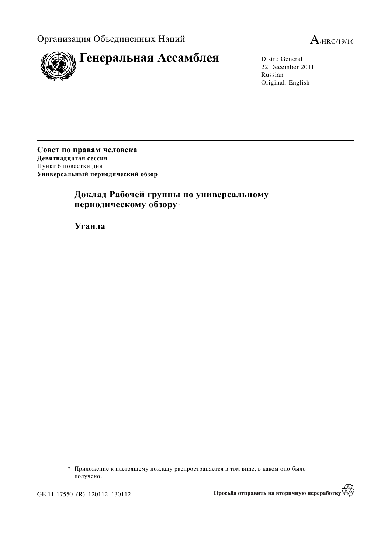



22 December 2011 Russian Original: English

Совет по правам человека Девятнадцатая сессия Пункт 6 повестки дня Универсальный периодический обзор

# Доклад Рабочей группы по универсальному периодическому обзору\*

**Уганда** 

GE.11-17550 (R) 120112 130112

**ES** Просьба отправить на вторичную переработку

 $*$  Приложение к настоящему докладу распространяется в том виде, в каком оно было получено.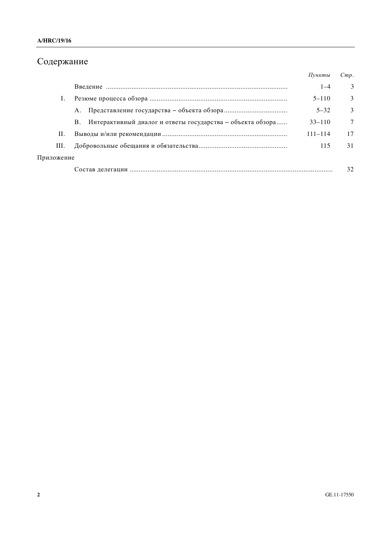# Содержание

|            |                                                                  | Пункты      | Cmp.   |
|------------|------------------------------------------------------------------|-------------|--------|
|            |                                                                  | $1 - 4$     | 3      |
|            |                                                                  | $5 - 110$   | 3      |
|            | А.                                                               | $5 - 32$    | 3      |
|            | Интерактивный диалог и ответы государства - объекта обзора<br>B. | $33 - 110$  | $\tau$ |
| П.         |                                                                  | $111 - 114$ | 17     |
| III.       |                                                                  | 115         | 31     |
| Приложение |                                                                  |             |        |
|            |                                                                  |             | 32     |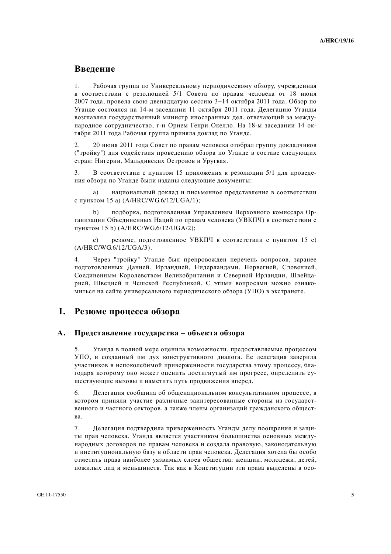### **Введение**

1. Рабочая группа по Универсальному периодическому обзору, учрежденная в соответствии с резолюцией 5/1 Совета по правам человека от 18 июня 2007 года, провела свою двеналиатую сессию 3–14 октября 2011 года. Обзор по Уганде состоялся на 14-м заседании 11 октября 2011 года. Делегацию Уганды возглавлял государственный министр иностранных дел, отвечающий за международное сотрудничество, г-н Орием Генри Окелло. На 18-м заседании 14 октября 2011 года Рабочая группа приняла доклад по Уганде.

2. 20 июня 2011 года Совет по правам человека отобрал группу докладчиков ("тройку") для содействия проведению обзора по Уганде в составе следующих стран: Нигерии, Мальдивских Островов и Уругвая.

3. В соответствии с пунктом 15 приложения к резолюции 5/1 для проведения обзора по Уганде были изданы следующие документы:

а) национальный доклад и письменное представление в соответствии с пунктом 15 а) (A/HRC/WG.6/12/UGA/1);

b) подборка, подготовленная Управлением Верховного комиссара Организации Объединенных Наций по правам человека (УВКПЧ) в соответствии с пунктом 15 b) (A/HRC/WG.6/12/UGA/2);

c) резюме, подготовленное УВКПЧ в соответствии с пунктом 15 с) (A/HRC/WG.6/12/UGA/3).

4. Через "тройку" Уганде был препровожден перечень вопросов, заранее подготовленных Данией, Ирландией, Нидерландами, Норвегией, Словенией, Соединенным Королевством Великобритании и Северной Ирландии, Швейцарией, Швецией и Чешской Республикой. С этими вопросами можно ознакомиться на сайте универсального периодического обзора (УПО) в экстранете.

### **І.** Резюме процесса обзора

#### А. Представление государства – объекта обзора

5. Уганда в полной мере оценила возможности, предоставляемые процессом УПО, и созданный им дух конструктивного диалога. Ее делегация заверила участников в непоколебимой приверженности государства этому процессу, благоларя которому оно может оценить достигнутый им прогресс, определить существующие вызовы и наметить путь продвижения вперед.

6. Делегация сообщила об общенациональном консультативном процессе, в котором приняли участие различные заинтересованные стороны из государственного и частного секторов, а также члены организаций гражданского общест**в**а

7. Делегация подтвердила приверженность Уганды делу поощрения и защиты прав человека. Уганда является участником большинства основных международных договоров по правам человека и создала правовую, законодательную и институциональную базу в области прав человека. Делегация хотела бы особо отметить права наиболее уязвимых слоев обшества: женщин, молодежи, детей, пожилых лиц и меньшинств. Так как в Конституции эти права выделены в осо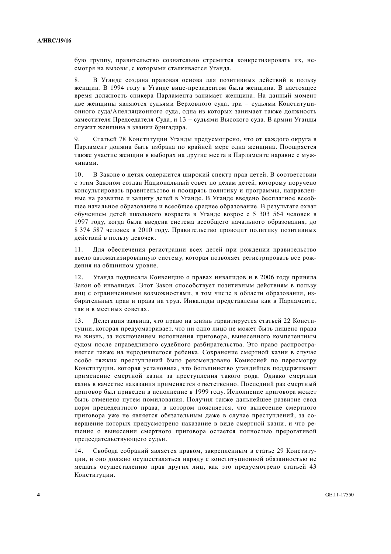бую группу, правительство сознательно стремится конкретизировать их, несмотря на вызовы, с которыми сталкивается Уганда.

8. В Уганде создана правовая основа для позитивных действий в пользу женщин. В 1994 году в Уганде вице-президентом была женщина. В настоящее время должность спикера Парламента занимает женщина. На данный момент две женщины являются судьями Верховного суда, три – судьями Конституционного суда/Апелляционного суда, одна из которых занимает также должность заместителя Председателя Суда, и 13 – судьями Высокого суда. В армии Уганды служит женщина в звании бригадира.

9. Статьей 78 Конституции Уганды предусмотрено, что от каждого округа в Парламент должна быть избрана по крайней мере одна женщина. Поощряется также участие женщин в выборах на другие места в Парламенте наравне с мужчинами.

10. В Законе о детях содержится широкий спектр прав детей. В соответствии с этим Законом создан Национальный совет по делам детей, которому поручено консультировать правительство и поощрять политику и программы, направленные на развитие и защиту детей в Уганде. В Уганде введено бесплатное всеобщее начальное образование и всеобщее среднее образование. В результате охват  $\overline{6}$ обучением детей школьного возраста в Уганде возрос с 5 303 564 человек в 1997 году, когда была введена система всеобщего начального образования, до 8 374 587 ЧЕЛОВЕК В 2010 ГОДУ. Правительство проводит политику позитивных действий в пользу девочек.

11. Для обеспечения регистрации всех детей при рождении правительство ввело автоматизированную систему, которая позволяет регистрировать все рождения на общинном уровне.

12. Уганда подписала Конвенцию о правах инвалидов и в 2006 году приняла Закон об инвалидах. Этот Закон способствует позитивным действиям в пользу лиц с ограниченными возможностями, в том числе в области образования, избирательных прав и права на труд. Инвалиды представлены как в Парламенте, так и в местных советах.

13. Делегация заявила, что право на жизнь гарантируется статьей 22 Конституции, которая предусматривает, что ни одно лицо не может быть лишено права на жизнь, за исключением исполнения приговора, вынесенного компетентным судом после справедливого судебного разбирательства. Это право распространяется также на неродившегося ребенка. Сохранение смертной казни в случае особо тяжких преступлений было рекомендовано Комиссией по пересмотру Конституции, которая установила, что большинство угандийцев поддерживают применение смертной казни за преступления такого рода. Однако смертная казнь в качестве наказания применяется ответственно. Последний раз смертный приговор был приведен в исполнение в 1999 году. Исполнение приговора может быть отменено путем помилования. Получил также дальнейшее развитие свод норм прецедентного права, в котором поясняется, что вынесение смертного приговора уже не является обязательным даже в случае преступлений, за совершение которых предусмотрено наказание в виде смертной казни, и что решение о вынесении смертного приговора остается полностью прерогативой председательствующего судьи.

14. Свобода собраний является правом, закрепленным в статье 29 Конституции, и оно должно осуществляться наряду с конституционной обязанностью не мешать осуществлению прав других лиц, как это предусмотрено статьей 43 Конституции.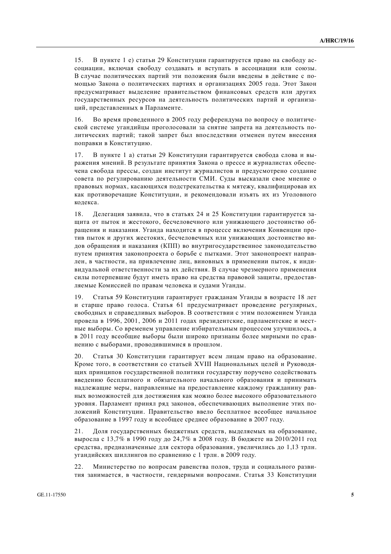15. В пункте 1 е) статьи 29 Конституции гарантируется право на свободу ассоциации, включая свободу создавать и вступать в ассоциации или союзы. В случае политических партий эти положения были введены в действие с помощью Закона о политических партиях и организациях 2005 года. Этот Закон предусматривает выделение правительством финансовых средств или других госуларственных ресурсов на леятельность политических партий и организаций, представленных в Парламенте.

16. Во время проведенного в 2005 году референдума по вопросу о политической системе угандийцы проголосовали за снятие запрета на деятельность политических партий; такой запрет был впоследствии отменен путем внесения поправки в Конституцию.

17. В пункте 1 а) статьи 29 Конституции гарантируется свобода слова и выражения мнений. В результате принятия Закона о прессе и журналистах обеспечена свобода прессы, создан институт журналистов и предусмотрено создание совета по регулированию деятельности СМИ. Суды высказали свое мнение о правовых нормах, касающихся подстрекательства к мятежу, квалифицировав их как противоречащие Конституции, и рекомендовали изъять их из Уголовного кодекса.

18. Лелегация заявила, что в статьях 24 и 25 Конституции гарантируется защита от пыток и жестокого. бесчеловечного или унижающего лостоинство обращения и наказания. Уганда находится в процессе включения Конвенции против пыток и других жестоких, бесчеловечных или унижающих достоинство видов обращения и наказания (КПП) во внутригосударственное законодательство путем принятия законопроекта о борьбе с пытками. Этот законопроект направлен, в частности, на привлечение лиц, виновных в применении пыток, к индивидуальной ответственности за их действия. В случае чрезмерного применения силы потерпевшие будут иметь право на средства правовой защиты, предоставляемые Комиссией по правам человека и судами Уганды.

19. Статья 59 Конституции гарантирует гражданам Уганды в возрасте 18 лет и старше право голоса. Статья 61 предусматривает проведение регулярных, свободных и справедливых выборов. В соответствии с этим положением Уганда провела в 1996, 2001, 2006 и 2011 годах президентские, парламентские и местные выборы. Со временем управление избирательным процессом улучшилось, а в 2011 году всеобщие выборы были широко признаны более мирными по сравнению с выборами, проводившимися в прошлом.

20. Статья 30 Конституции гарантирует всем лицам право на образование. Кроме того, в соответствии со статьей XVIII Национальных целей и Руководящих принципов государственной политики государству поручено содействовать введению бесплатного и обязательного начального образования и принимать надлежащие меры, направленные на предоставление каждому гражданину равных возможностей для достижения как можно более высокого образовательного уровня. Парламент принял ряд законов, обеспечивающих выполнение этих положений Конституции. Правительство ввело бесплатное всеобщее начальное образование в 1997 году и всеобщее среднее образование в 2007 году.

21. Доля государственных бюджетных средств, выделяемых на образование, выросла с 13,7% в 1990 году до 24,7% в 2008 году. В бюджете на 2010/2011 год средства, предназначенные для сектора образования, увеличились до 1,13 трлн. угандийских шиллингов по сравнению с 1 трлн. в 2009 году.

22. Министерство по вопросам равенства полов, труда и социального развития занимается, в частности, гендерными вопросами. Статья 33 Конституции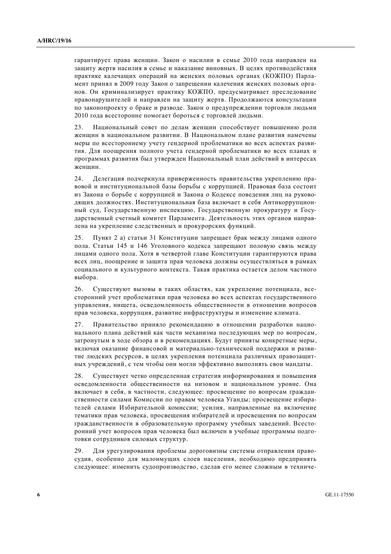гарантирует права женщин. Закон о насилии в семье 2010 года направлен на защиту жертв насилия в семье и наказание виновных. В целях противодействия практике калечащих операций на женских половых органах (КОЖПО) Парламент принял в 2009 году Закон о запрещении калечения женских половых органов. Он криминализирует практику КОЖПО, предусматривает преследование правонарушителей и направлен на зашиту жертв. Продолжаются консультации по законопроекту о браке и разволе. Закон о предупреждении торговли людьми 2010 года всесторонне помогает бороться с торговлей людьми.

23. Национальный совет по делам женщин способствует повышению роли женшин в национальном развитии. В Национальном плане развития намечены меры по всестороннему учету гендерной проблематики во всех аспектах развития. Для поощрения полного учета гендерной проблематики во всех планах и программах развития был утвержден Национальный план действий в интересах женшин.

24. Делегация подчеркнула приверженность правительства укреплению правовой и институциональной базы борьбы с коррупцией. Правовая база состоит из Закона о борьбе с коррупцией и Закона о Кодексе поведения лиц на руководящих должностях. Институциональная база включает в себя Антикоррупционный суд, Государственную инспекцию, Государственную прокуратуру и Государственный счетный комитет Парламента. Деятельность этих органов направлена на укрепление следственных и прокурорских функций.

25. Пункт 2 а) статьи 31 Конституции запрещает брак между лицами одного пола. Статьи 145 и 146 Уголовного колекса запрешают половую связь между лицами одного пола. Хотя в четвертой главе Конституции гарантируются права всех лиц, поощрение и защита прав человека должны осуществляться в рамках социального и культурного контекста. Такая практика остается делом частного выбора.

26. Существуют вызовы в таких областях, как укрепление потенциала, всесторонний учет проблематики прав человека во всех аспектах государственного управления, нищета, осведомленность общественности в отношении вопросов прав человека, коррупция, развитие инфраструктуры и изменение климата.

27. Правительство приняло рекомендацию в отношении разработки национального плана действий как части механизма последующих мер по вопросам, затронутым в ходе обзора и в рекомендациях. Будут приняты конкретные меры, включая оказание финансовой и материально-технической поддержки и развитие людских ресурсов, в целях укрепления потенциала различных правозащитных учреждений, с тем чтобы они могли эффективно выполнять свои мандаты.

28. Существует четко определенная стратегия информирования и повышения осведомленности общественности на низовом и национальном уровне. Она включает в себя, в частности, следующее: просвещение по вопросам гражданственности силами Комиссии по правам человека Уганды; просвещение избирателей силами Избирательной комиссии; усилия, направленные на включение тематики прав человека, просвещения избирателей и просвещения по вопросам гражданственности в образовательную программу учебных заведений. Всесторонний учет вопросов прав человека был включен в учебные программы подготовки сотрудников силовых структур.

29. Для урегулирования проблемы дороговизны системы отправления правосудия, особенно для малоимущих слоев населения, необходимо предпринять следующее: изменить судопроизводство, сделав его менее сложным в техниче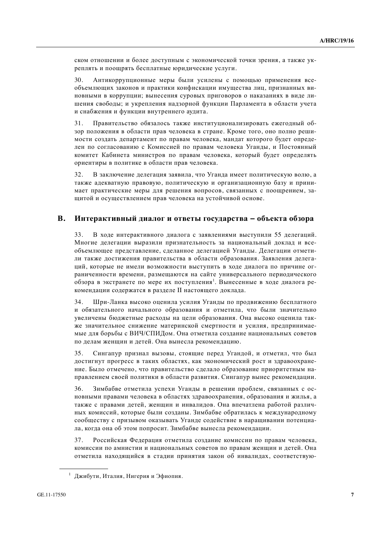ском отношении и более доступным с экономической точки зрения, а также укреплять и поощрять бесплатные юридические услуги.

30. Антикоррупционные меры были усилены с помощью применения всеобъемлющих законов и практики конфискации имущества лиц, признанных виновными в коррупции; вынесения суровых приговоров о наказаниях в виде лишения свободы; и укрепления надзорной функции Парламента в области учета и снабжения и функции внутреннего аудита.

31. Правительство обязалось также институционализировать ежегодный обзор положения в области прав человека в стране. Кроме того, оно полно решимости создать департамент по правам человека, мандат которого будет определен по согласованию с Комиссией по правам человека Уганды, и Постоянный комитет Кабинета министров по правам человека, который будет определять ориентиры в политике в области прав человека.

32. В заключение делегация заявила, что Уганда имеет политическую волю, а также адекватную правовую, политическую и организационную базу и принимает практические меры для решения вопросов, связанных с поощрением, защитой и осуществлением прав человека на устойчивой основе.

#### В. Интерактивный диалог и ответы государства – объекта обзора

33. В ходе интерактивного диалога с заявлениями выступили 55 делегаций. Многие делегации выразили признательность за национальный доклад и всеобъемлющее представление, сделанное делегацией Уганды. Делегации отметили также лостижения правительства в области образования. Заявления делегаций, которые не имели возможности выступить в ходе диалога по причине ограниченности времени, размещаются на сайте универсального периодического обзора в экстранете по мере их поступления<sup>1</sup>. Вынесенные в ходе диалога рекомендации содержатся в разделе II настоящего доклада.

34. Шри-Ланка высоко оценила усилия Уганды по продвижению бесплатного и обязательного начального образования и отметила, что были значительно увеличены бюджетные расходы на цели образования. Она высоко оценила также значительное снижение материнской смертности и усилия, предпринимаемые для борьбы с ВИЧ/СПИДом. Она отметила создание национальных советов по делам женщин и детей. Она вынесла рекомендацию.

35. Сингапур признал вызовы, стоящие перед Угандой, и отметил, что был достигнут прогресс в таких областях, как экономический рост и здравоохранение. Было отмечено, что правительство сделало образование приоритетным направлением своей политики в области развития. Сингапур вынес рекомендации.

36. Зимбабве отметила успехи Уганды в решении проблем, связанных с основными правами человека в областях здравоохранения, образования и жилья, а также с правами летей, женшин и инвалилов. Она впечатлена работой различных комиссий, которые были созданы. Зимбабве обратилась к международному сообществу с призывом оказывать Уганде содействие в наращивании потенциала, когда она об этом попросит. Зимбабве вынесла рекомендации.

37. Российская Федерация отметила создание комиссии по правам человека, комиссии по амнистии и национальных советов по правам женщин и детей. Она отметила находящийся в стадии принятия закон об инвалидах, соответствую-

 $1 \overline{2}$  Джибути, Италия, Нигерия и Эфиопия.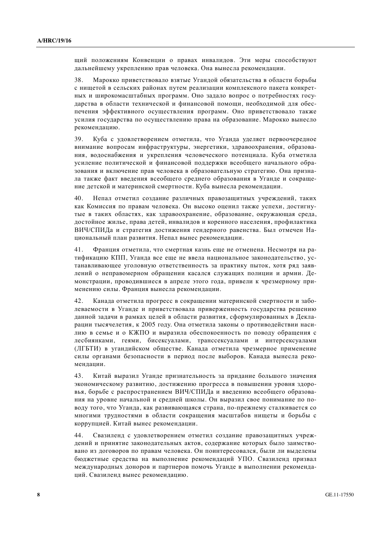щий положениям Конвенции о правах инвалидов. Эти меры способствуют дальнейшему укреплению прав человека. Она вынесла рекомендации.

38. Марокко приветствовало взятые Угандой обязательства в области борьбы с нищетой в сельских районах путем реализации комплексного пакета конкретных и широкомасштабных программ. Оно задало вопрос о потребностях государства в области технической и финансовой помощи, необходимой для обеспечения эффективного осуществления программ. Оно приветствовало также усилия государства по осуществлению права на образование. Марокко вынесло рекомендацию.

39. Куба с удовлетворением отметила, что Уганда уделяет первоочередное внимание вопросам инфраструктуры, энергетики, здравоохранения, образования, водоснабжения и укрепления человеческого потенциала. Куба отметила усиление политической и финансовой поддержки всеобщего начального образования и включение прав человека в образовательную стратегию. Она признала также факт введения всеобщего среднего образования в Уганде и сокращение детской и материнской смертности. Куба вынесла рекомендации.

40. Непал отметил создание различных правозащитных учреждений, таких как Комиссия по правам человека. Он высоко оценил также успехи, достигнутые в таких областях, как злравоохранение, образование, окружающая срела, достойное жилье, права детей, инвалидов и коренного населения, профилактика ВИЧ/СПИДа и стратегия достижения гендерного равенства. Был отмечен Национальный план развития. Непал вынес рекомендации.

41. Франция отметила, что смертная казнь еще не отменена. Несмотря на ратификацию КПП, Уганда все еще не ввела национальное законодательство, устанавливающее уголовную ответственность за практику пыток, хотя ряд заявлений о неправомерном обрашении касался служаших полиции и армии. Лемонстрации, проводившиеся в апреле этого года, привели к чрезмерному применению силы. Франция вынесла рекомендации.

42. Канала отметила прогресс в сокрашении материнской смертности и заболеваемости в Уганде и приветствовала приверженность государства решению данной задачи в рамках целей в области развития, сформулированных в Декларации тысячелетия, к 2005 году. Она отметила законы о противодействии насилию в семье и о КЖПО и выразила обеспокоенность по поводу обращения с лесбиянками, геями, бисексуалами, транссексуалами и интерсексуалами (ЛГБТИ) в угандийском обществе. Канада отметила чрезмерное применение силы органами безопасности в период после выборов. Канада вынесла рекомендации.

43. Китай выразил Уганде признательность за придание большого значения экономическому развитию, достижению прогресса в повышении уровня здоровья, борьбе с распространением ВИЧ/СПИДа и введению всеобщего образования на уровне начальной и средней школы. Он выразил свое понимание по поводу того, что Уганда, как развивающаяся страна, по-прежнему сталкивается со многими трудностями в области сокращения масштабов нищеты и борьбы с коррупцией. Китай вынес рекомендации.

44. Свазиленд с удовлетворением отметил создание правозащитных учреждений и принятие законодательных актов, содержание которых было заимствовано из договоров по правам человека. Он поинтересовался, были ли выделены бюджетные средства на выполнение рекомендаций УПО. Свазиленд призвал международных доноров и партнеров помочь Уганде в выполнении рекомендаций. Свазиленд вынес рекомендацию.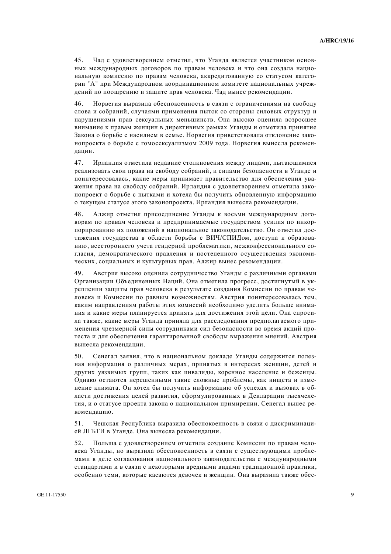45. Чад с удовлетворением отметил, что Уганда является участником основных международных договоров по правам человека и что она создала национальную комиссию по правам человека, аккредитованную со статусом категории "А" при Международном координационном комитете национальных учреждений по поошрению и зашите прав человека. Чал вынес рекоменлации.

46. Норвегия выразила обеспокоенность в связи с ограничениями на свободу слова и собраний, случаями применения пыток со стороны силовых структур и нарушениями прав сексуальных меньшинств. Она высоко оценила возросшее внимание к правам женщин в директивных рамках Уганды и отметила принятие Закона о борьбе с насилием в семье. Норвегия приветствовала отклонение законопроекта о борьбе с гомосексуализмом 2009 года. Норвегия вынесла рекомендации.

47. Ирландия отметила недавние столкновения между лицами, пытающимися реализовать свои права на свободу собраний, и силами безопасности в Уганде и поинтересовалась, какие меры принимает правительство для обеспечения уважения права на свободу собраний. Ирландия с удовлетворением отметила законопроект о борьбе с пытками и хотела бы получить обновленную информацию о текущем статусе этого законопроекта. Ирландия вынесла рекомендации.

48. Алжир отметил присоелинение Уганлы к восьми международным договорам по правам человека и предпринимаемые государством усилия по инкорпорированию их положений в национальное законодательство. Он отметил достижения государства в области борьбы с ВИЧ/СПИДом, доступа к образованию, всестороннего учета генлерной проблематики, межконфессионального согласия, демократического правления и постепенного осуществления экономических, социальных и культурных прав. Алжир вынес рекомендации.

49. Австрия высоко оценила сотрудничество Уганды с различными органами Организации Объединенных Наций. Она отметила прогресс, достигнутый в укреплении защиты прав человека в результате создания Комиссии по правам человека и Комиссии по равным возможностям. Австрия поинтересовалась тем, каким направлениям работы этих комиссий необходимо уделить больше внимания и какие меры планируется принять для достижения этой цели. Она спросила также, какие меры Уганда приняла для расследования предполагаемого применения чрезмерной силы сотрудниками сил безопасности во время акций протеста и для обеспечения гарантированной свободы выражения мнений. Австрия вынесла рекомендации.

50. Сенегал заявил, что в национальном докладе Уганды содержится полезная информация о различных мерах, принятых в интересах женщин, детей и других уязвимых групп, таких как инвалиды, коренное население и беженцы. Однако остаются нерешенными такие сложные проблемы, как нищета и изменение климата. Он хотел бы получить информацию об успехах и вызовах в области достижения целей развития, сформулированных в Декларации тысячелетия, и о статусе проекта закона о национальном примирении. Сенегал вынес рекомендацию.

51. Чешская Республика выразила обеспокоенность в связи с дискриминацией ЛГБТИ в Уганде. Она вынесла рекомендации.

52. Польша с удовлетворением отметила создание Комиссии по правам человека Уганды, но выразила обеспокоенность в связи с существующими проблемами в деле согласования национального законодательства с международными стандартами и в связи с некоторыми вредными видами традиционной практики, особенно теми, которые касаются девочек и женщин. Она выразила также обес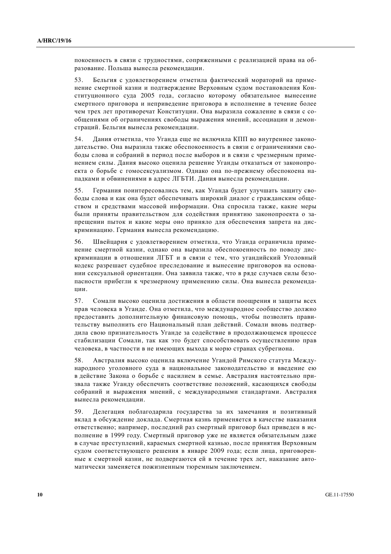покоенность в связи с трудностями, сопряженными с реализацией права на образование. Польша вынесла рекомендации.

53. Бельгия с удовлетворением отметила фактический мораторий на применение смертной казни и подтверждение Верховным судом постановления Конституционного суда 2005 года, согласно которому обязательное вынесение смертного приговора и неприведение приговора в исполнение в течение более чем трех лет противоречат Конституции. Она выразила сожаление в связи с сообшениями об ограничениях своболы выражения мнений, ассоциации и лемонстраций. Бельгия вынесла рекомендации.

54. Дания отметила, что Уганда еще не включила КПП во внутреннее законодательство. Она выразила также обеспокоенность в связи с ограничениями свободы слова и собраний в период после выборов и в связи с чрезмерным применением силы. Дания высоко оценила решение Уганды отказаться от законопроекта о борьбе с гомосексуализмом. Однако она по-прежнему обеспокоена нападками и обвинениями в адрес ЛГБТИ. Дания вынесла рекомендации.

55. Германия поинтересовались тем, как Уганда будет улучшать защиту свободы слова и как она будет обеспечивать широкий диалог с гражданским обществом и средствами массовой информации. Она спросила также, какие меры были приняты правительством для содействия принятию законопроекта о запрещении пыток и какие меры оно приняло для обеспечения запрета на дискриминацию. Германия вынесла рекомендацию.

56. Швейцария с удовлетворением отметила, что Уганда ограничила применение смертной казни, однако она выразила обеспокоенность по поводу дискриминации в отношении ЛГБТ и в связи с тем, что угандийский Уголовный кодекс разрешает судебное преследование и вынесение приговоров на основании сексуальной ориентации. Она заявила также, что в ряле случаев силы безопасности прибегли к чрезмерному применению силы. Она вынесла рекомендации.

57. Сомали высоко оценила лостижения в области поошрения и зашиты всех прав человека в Уганде. Она отметила, что международное сообщество должно предоставить дополнительную финансовую помощь, чтобы позволить правительству выполнить его Национальный план действий. Сомали вновь подтвердила свою признательность Уганле за солействие в продолжающемся процессе стабилизации Сомали, так как это будет способствовать осуществлению прав человека, в частности в не имеющих выхода к морю странах субрегиона.

58. Австралия высоко оценила включение Угандой Римского статута Международного уголовного суда в национальное законодательство и введение ею в действие Закона о борьбе с насилием в семье. Австралия настоятельно призвала также Уганду обеспечить соответствие положений, касающихся свободы собраний и выражения мнений, с международными стандартами. Австралия вынесла рекомендации.

59. Делегация поблагодарила государства за их замечания и позитивный вклад в обсуждение доклада. Смертная казнь применяется в качестве наказания ответственно; например, последний раз смертный приговор был приведен в исполнение в 1999 году. Смертный приговор уже не является обязательным даже в случае преступлений, караемых смертной казнью, после принятия Верховным судом соответствующего решения в январе 2009 года; если лица, приговоренные к смертной казни, не подвергаются ей в течение трех лет, наказание автоматически заменяется пожизненным тюремным заключением.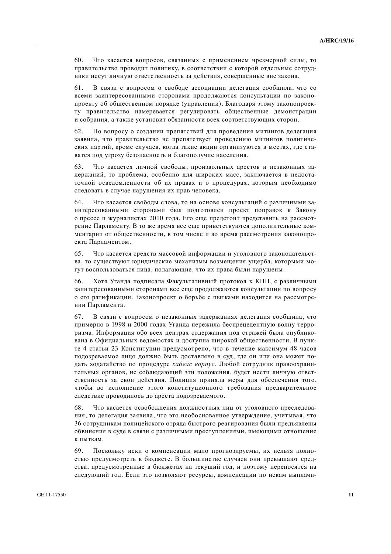60. Что касается вопросов, связанных с применением чрезмерной силы, то правительство проводит политику, в соответствии с которой отдельные сотрудники несут личную ответственность за действия, совершенные вне закона.

61. В связи с вопросом о свободе ассоциации делегация сообщила, что со всеми заинтересованными сторонами продолжаются консультации по законопроекту об общественном порядке (управлении). Благодаря этому законопроекту правительство намеревается регулировать общественные демонстрации и собрания, а также установит обязанности всех соответствующих сторон.

62. По вопросу о создании препятствий для проведения митингов делегация заявила, что правительство не препятствует проведению митингов политических партий, кроме случаев, когда такие акции организуются в местах, где ставятся под угрозу безопасность и благополучие населения.

63. Что касается личной свободы, произвольных арестов и незаконных задержаний, то проблема, особенно для широких масс, заключается в недостаточной осведомленности об их правах и о процедурах, которым необходимо следовать в случае нарушения их прав человека.

64. Что касается свободы слова, то на основе консультаций с различными заинтересованными сторонами был подготовлен проект поправок к Закону о прессе и журналистах 2010 года. Его еще предстоит представить на рассмотрение Парламенту. В то же время все еще приветствуются дополнительные комментарии от общественности, в том числе и во время рассмотрения законопроекта Парламентом.

65. Что касается средств массовой информации и уголовного законодательства, то существуют юридические механизмы возмещения ущерба, которыми могут воспользоваться лица, полагающие, что их права были нарушены.

66. Хотя Уганда подписала Факультативный протокол к КПП, с различными заинтересованными сторонами все еще продолжаются консультации по вопросу о его ратификации. Законопроект о борьбе с пытками находится на рассмотрении Парламента.

67. В связи с вопросом о незаконных задержаниях делегация сообщила, что примерно в 1998 и 2000 годах Уганда пережила беспрецедентную волну терроризма. Информация обо всех центрах содержания под стражей была опубликована в Официальных ведомостях и доступна широкой общественности. В пункте 4 статьи 23 Конституции предусмотрено, что в течение максимум 48 часов подозреваемое лицо должно быть доставлено в суд, где он или она может подать ходатайство по процедуре хабеас корпус. Любой сотрудник правоохранительных органов, не соблюдающий эти положения, будет нести личную ответственность за свои действия. Полиция приняла меры для обеспечения того, чтобы во исполнение этого конституционного требования предварительное следствие проводилось до ареста подозреваемого.

68. Что касается освобождения должностных лиц от уголовного преследования, то делегация заявила, что это необоснованное утверждение, учитывая, что 36 сотрудникам полицейского отряда быстрого реагирования были предъявлены обвинения в суде в связи с различными преступлениями, имеющими отношение к пыткам.

69. Поскольку иски о компенсации мало прогнозируемы, их нельзя полностью предусмотреть в бюджете. В большинстве случаев они превышают средства, предусмотренные в бюджетах на текущий год, и поэтому переносятся на следующий год. Если это позволяют ресурсы, компенсации по искам выплачи-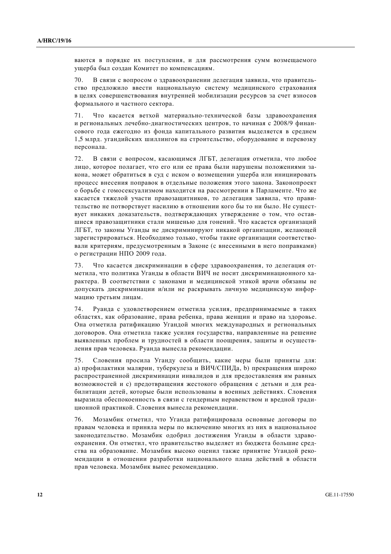ваются в порядке их поступления, и для рассмотрения сумм возмещаемого ущерба был создан Комитет по компенсациям.

70. В связи с вопросом о здравоохранении делегация заявила, что правительство предложило ввести национальную систему медицинского страхования в целях совершенствования внутренней мобилизации ресурсов за счет взносов формального и частного сектора.

71. Что касается ветхой материально-технической базы здравоохранения и региональных лечебно-диагностических центров, то начиная с 2008/9 финансового года ежегодно из фонда капитального развития выделяется в среднем 1,5 млрд. угандийских шиллингов на строительство, оборудование и перевозку персонала.

72. В связи с вопросом, касающимся ЛГБТ, делегация отметила, что любое лицо, которое полагает, что его или ее права были нарушены положениями закона, может обратиться в суд с иском о возмещении ущерба или инициировать процесс внесения поправок в отдельные положения этого закона. Законопроект о борьбе с гомосексуализмом находится на рассмотрении в Парламенте. Что же касается тяжелой участи правозащитников, то делегация заявила, что правительство не потворствует насилию в отношении кого бы то ни было. Не сушествует никаких доказательств, подтверждающих утверждение о том, что оставшиеся правозашитники стали мишенью для гонений. Что касается организаций ЛГБТ, то законы Уганды не дискриминируют никакой организации, желающей зарегистрироваться. Необходимо только, чтобы такие организации соответствовали критериям, предусмотренным в Законе (с внесенными в него поправками) о регистрации НПО 2009 года.

73. Что касается дискриминации в сфере здравоохранения, то делегация отметила, что политика Уганлы в области ВИЧ не носит лискриминационного характера. В соответствии с законами и медицинской этикой врачи обязаны не допускать дискриминации и/или не раскрывать личную медицинскую информацию третьим лицам.

74. Руанда с удовлетворением отметила усилия, предпринимаемые в таких областях, как образование, права ребенка, права женщин и право на здоровье. Она отметила ратификацию Угандой многих международных и региональных договоров. Она отметила также усилия государства, направленные на решение выявленных проблем и трудностей в области поощрения, защиты и осуществления прав человека. Руанда вынесла рекомендации.

75. Словения просила Уганду сообщить, какие меры были приняты для: а) профилактики малярии, туберкулеза и ВИЧ/СПИДа, b) прекращения широко распространенной дискриминации инвалидов и для предоставления им равных возможностей и с) предотвращения жестокого обращения с детьми и для реабилитации детей, которые были использованы в военных действиях. Словения выразила обеспокоенность в связи с гендерным неравенством и вредной традиционной практикой. Словения вынесла рекомендации.

76. Мозамбик отметил, что Уганда ратифицировала основные договоры по правам человека и приняла меры по включению многих из них в национальное законодательство. Мозамбик одобрил достижения Уганды в области здравоохранения. Он отметил, что правительство выделяет из бюджета большие средства на образование. Мозамбик высоко оценил также принятие Угандой рекомендации в отношении разработки национального плана действий в области прав человека. Мозамбик вынес рекомендацию.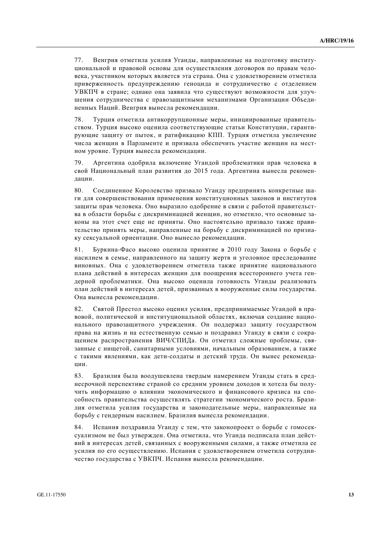77. Венгрия отметила усилия Уганды, направленные на подготовку институциональной и правовой основы для осуществления договоров по правам человека, участником которых является эта страна. Она с удовлетворением отметила приверженность предупреждению геноцида и сотрудничество с отделением УВКПЧ в стране; однако она заявила что существуют возможности для улучшения сотрудничества с правозашитными механизмами Организации Объединенных Наций. Венгрия вынесла рекоменлации.

78. Турция отметила антикоррупционные меры, инициированные правительством. Турция высоко оценила соответствующие статьи Конституции, гарантирующие защиту от пыток, и ратификацию КПП. Турция отметила увеличение числа женщин в Парламенте и призвала обеспечить участие женщин на местном уровне. Турция вынесла рекомендации.

79. Аргентина одобрила включение Угандой проблематики прав человека в свой Национальный план развития до 2015 года. Аргентина вынесла рекомендации.

80. Соединенное Королевство призвало Уганду предпринять конкретные шаги для совершенствования применения конституционных законов и институтов защиты прав человека. Оно выразило одобрение в связи с работой правительства в области борьбы с лискриминацией женщин, но отметило, что основные законы на этот счет еще не приняты. Оно настоятельно призвало также правительство принять меры, направленные на борьбу с дискриминацией по признаку сексуальной ориентации. Оно вынесло рекомендации.

81. Буркина-Фасо высоко оценила принятие в 2010 году Закона о борьбе с насилием в семье, направленного на защиту жертв и уголовное преследование виновных. Она с удовлетворением отметила также принятие национального плана действий в интересах женщин для поощрения всестороннего учета гендерной проблематики. Она высоко оценила готовность Уганды реализовать план действий в интересах детей, призванных в вооруженные силы государства. Она вынесла рекомендации.

82. Святой Престол высоко оценил усилия, предпринимаемые Угандой в правовой, политической и институциональной областях, включая создание национального правозащитного учреждения. Он поддержал защиту государством права на жизнь и на естественную семью и поздравил Уганду в связи с сокращением распространения ВИЧ/СПИДа. Он отметил сложные проблемы, связанные с нищетой, санитарными условиями, начальным образованием, а также с такими явлениями, как дети-солдаты и детский труда. Он вынес рекомендации.

83. Бразилия была воодушевлена твердым намерением Уганды стать в среднесрочной перспективе страной со средним уровнем доходов и хотела бы получить информацию о влиянии экономического и финансового кризиса на способность правительства осуществлять стратегии экономического роста. Бразилия отметила усилия государства и законодательные меры, направленные на борьбу с гендерным насилием. Бразилия вынесла рекомендации.

84. Испания поздравила Уганду с тем, что законопроект о борьбе с гомосексуализмом не был утвержден. Она отметила, что Уганда подписала план действий в интересах детей, связанных с вооруженными силами, а также отметила ее усилия по его осуществлению. Испания с удовлетворением отметила сотрудничество государства с УВКПЧ. Испания вынесла рекомендации.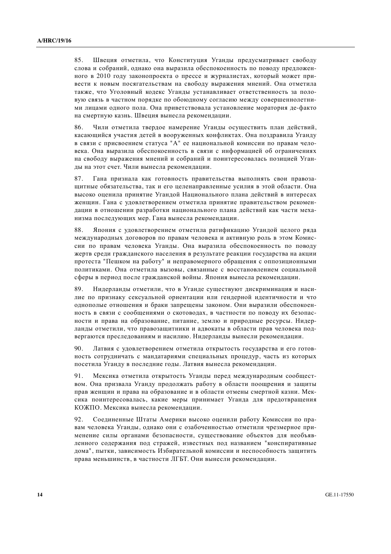85. Швеция отметила, что Конституция Уганды предусматривает свободу слова и собраний, однако она выразила обеспокоенность по поводу предложенного в 2010 году законопроекта о прессе и журналистах, который может привести к новым посягательствам на свободу выражения мнений. Она отметила также, что Уголовный кодекс Уганды устанавливает ответственность за половую связь в частном порядке по обоюдному согласию между совершеннолетними лицами одного пола. Она приветствовала установление моратория де-факто на смертную казнь. Швеция вынесла рекомендации.

86. Чили отметила твердое намерение Уганды осуществить план действий, касаюшийся участия летей в вооруженных конфликтах. Она позлравила Уганлу в связи с присвоением статуса "А" ее национальной комиссии по правам человека. Она выразила обеспокоенность в связи с информацией об ограничениях на своболу выражения мнений и собраний и поинтересовалась позицией Уганды на этот счет. Чили вынесла рекомендации.

87. Гана признала как готовность правительства выполнять свои правозащитные обязательства, так и его целенаправленные усилия в этой области. Она высоко оценила принятие Угандой Национального плана действий в интересах женщин. Гана с удовлетворением отметила принятие правительством рекомендации в отношении разработки национального плана действий как части механизма последующих мер. Гана вынесла рекомендации.

88. Япония с удовлетворением отметила ратификацию Угандой целого ряда международных договоров по правам человека и активную роль в этом Комиссии по правам человека Уганды. Она выразила обеспокоенность по поводу жертв среди гражданского населения в результате реакции государства на акции протеста "Пешком на работу" и неправомерного обращения с оппозиционными политиками. Она отметила вызовы, связанные с восстановлением социальной сферы в период после гражданской войны. Япония вынесла рекомендации.

89. Нидерланды отметили, что в Уганде существуют дискриминация и насилие по признаку сексуальной ориентации или гендерной идентичности и что однополые отношения и браки запрещены законом. Они выразили обеспокоенность в связи с сообщениями о скотоводах, в частности по поводу их безопасности и права на образование, питание, землю и природные ресурсы. Нидерланды отметили, что правозащитники и адвокаты в области прав человека подвергаются преследованиям и насилию. Нидерланды вынесли рекомендации.

90. Латвия с удовлетворением отметила открытость государства и его готовность сотрудничать с мандатариями специальных процедур, часть из которых посетила Уганду в последние годы. Латвия вынесла рекомендации.

91. Мексика отметила открытость Уганды перед международным сообществом. Она призвала Уганду продолжать работу в области поощрения и защиты прав женщин и права на образование и в области отмены смертной казни. Мексика поинтересовалась, какие меры принимает Уганда для предотвращения КОЖПО. Мексика вынесла рекомендации.

92. Соединенные Штаты Америки высоко оценили работу Комиссии по правам человека Уганды, однако они с озабоченностью отметили чрезмерное применение силы органами безопасности, существование объектов для необъявленного содержания под стражей, известных под названием "конспиративные дома", пытки, зависимость Избирательной комиссии и неспособность защитить права меньшинств, в частности ЛГБТ. Они вынесли рекомендации.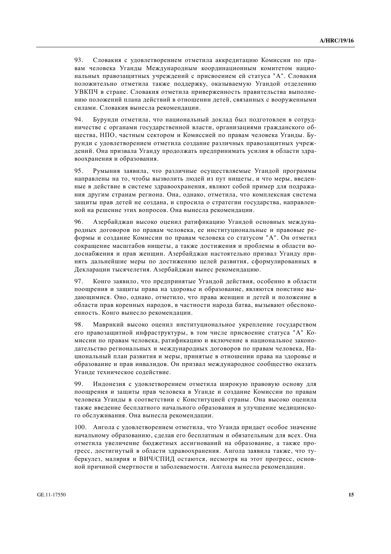93. Словакия с удовлетворением отметила аккредитацию Комиссии по правам человека Уганды Международным координационным комитетом национальных правозащитных учреждений с присвоением ей статуса "А". Словакия положительно отметила также поддержку, оказываемую Угандой отделению УВКПЧ в стране. Словакия отметила приверженность правительства выполнению положений плана лействий в отношении летей, связанных с вооруженными силами. Словакия вынесла рекоменлации.

94. Бурунди отметила, что национальный доклад был полготовлен в сотрудничестве с органами государственной власти, организациями гражданского обшества, НПО, частным сектором и Комиссией по правам человека Уганлы. Бурунди с удовлетворением отметила создание различных правозащитных учреждений. Она призвала Уганду продолжать предпринимать усилия в области здравоохранения и образования.

95. Румыния заявила, что различные осуществляемые Угандой программы направлены на то, чтобы вызволить людей из пут нищеты, и что меры, введенные в действие в системе здравоохранения, являют собой пример для подражания другим странам региона. Она, однако, отметила, что комплексная система защиты прав детей не создана, и спросила о стратегии государства, направленной на решение этих вопросов. Она вынесла рекомендации.

96. Азербайджан высоко оценил ратификацию Угандой основных международных договоров по правам человека, ее институциональные и правовые реформы и создание Комиссии по правам человека со статусом "А". Он отметил сокрашение масштабов нишеты, а также лостижения и проблемы в области водоснабжения и прав женщин. Азербайджан настоятельно призвал Уганду принять дальнейшие меры по достижению целей развития, сформулированных в Декларации тысячелетия. Азербайджан вынес рекомендацию.

97. Конго заявило, что предпринятые Угандой действия, особенно в области поощрения и защиты права на здоровье и образование, являются поистине выдающимися. Оно, однако, отметило, что права женщин и детей и положение в области прав коренных народов, в частности народа батва, вызывают обеспокоенность. Конго вынесло рекомендации.

98. Маврикий высоко оценил институциональное укрепление государством его правозащитной инфраструктуры, в том числе присвоение статуса "А" Комиссии по правам человека, ратификацию и включение в национальное законодательство региональных и международных договоров по правам человека, Национальный план развития и меры, принятые в отношении права на здоровье и образование и прав инвалидов. Он призвал международное сообщество оказать Уганде техническое содействие.

99. Индонезия с удовлетворением отметила широкую правовую основу для поощрения и защиты прав человека в Уганде и создание Комиссии по правам человека Уганды в соответствии с Конституцией страны. Она высоко оценила также введение бесплатного начального образования и улучшение медицинского обслуживания. Она вынесла рекомендации.

100. Ангола с удовлетворением отметила, что Уганда придает особое значение начальному образованию, сделав его бесплатным и обязательным для всех. Она отметила увеличение бюджетных ассигнований на образование, а также прогресс, достигнутый в области здравоохранения. Ангола заявила также, что туберкулез, малярия и ВИЧ/СПИД остаются, несмотря на этот прогресс, основной причиной смертности и заболеваемости. Ангола вынесла рекомендации.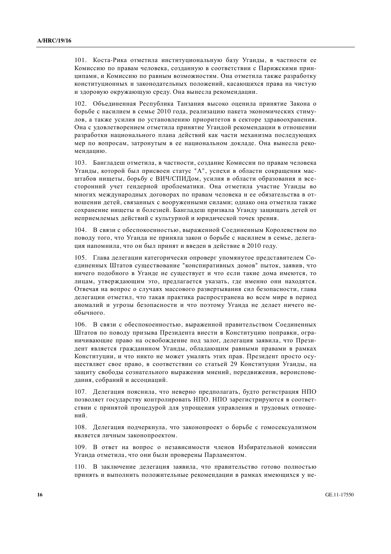101. Коста-Рика отметила институциональную базу Уганды, в частности ее Комиссию по правам человека, созданную в соответствии с Парижскими принципами, и Комиссию по равным возможностям. Она отметила также разработку конституционных и законодательных положений, касающихся права на чистую и здоровую окружающую среду. Она вынесла рекомендации.

102. Объелиненная Республика Танзания высоко оценила принятие Закона о борьбе с насилием в семье 2010 года, реализацию пакета экономических стимудов, а также усилия по установлению приоритетов в секторе здравоохранения. Она с удовлетворением отметила принятие Угандой рекомендации в отношении разработки национального плана лействий как части механизма последующих мер по вопросам, затронутым в ее национальном докладе. Она вынесла рекомендацию.

103. Бангладеш отметила, в частности, создание Комиссии по правам человека Уганды, которой был присвоен статус "А", успехи в области сокращения масштабов нищеты, борьбу с ВИЧ/СПИДом, усилия в области образования и всесторонний учет гендерной проблематики. Она отметила участие Уганды во многих международных договорах по правам человека и ее обязательства в отношении детей, связанных с вооруженными силами; однако она отметила также сохранение нищеты и болезней. Бангладеш призвала Уганду защищать детей от неприемлемых действий с культурной и юридической точек зрения.

104. В связи с обеспокоенностью, выраженной Соединенным Королевством по поводу того, что Уганда не приняла закон о борьбе с насилием в семье, делегация напомнила, что он был принят и введен в действие в 2010 году.

105. Глава делегации категорически опроверг упомянутое представителем Соединенных Штатов существование "конспиративных домов" пыток, заявив, что ничего полобного в Уганле не сушествует и что если такие лома имеются, то лицам, утверждающим это, предлагается указать, где именно они находятся. Отвечая на вопрос о случаях массового развертывания сил безопасности, глава делегации отметил, что такая практика распространена во всем мире в период аномалий и угрозы безопасности и что поэтому Уганда не делает ничего необычного.

106. В связи с обеспокоенностью, выраженной правительством Соединенных Штатов по поволу призыва Презилента внести в Конституцию поправки, ограничивающие право на освобождение под залог, делегация заявила, что Президент является гражданином Уганды, обладающим равными правами в рамках Конституции, и что никто не может умалять этих прав. Президент просто осуществляет свое право, в соответствии со статьей 29 Конституции Уганды, на защиту свободы сознательного выражения мнений, передвижения, вероисповедания, собраний и ассоциаций.

107. Делегация пояснила, что неверно предполагать, будто регистрация НПО позволяет государству контролировать НПО. НПО зарегистрируются в соответствии с принятой процедурой для упрощения управления и трудовых отношений.

108. Делегация подчеркнула, что законопроект о борьбе с гомосексуализмом является личным законопроектом.

109. В ответ на вопрос о независимости членов Избирательной комиссии Уганда отметила, что они были проверены Парламентом.

110. В заключение делегация заявила, что правительство готово полностью принять и выполнить положительные рекомендации в рамках имеющихся у не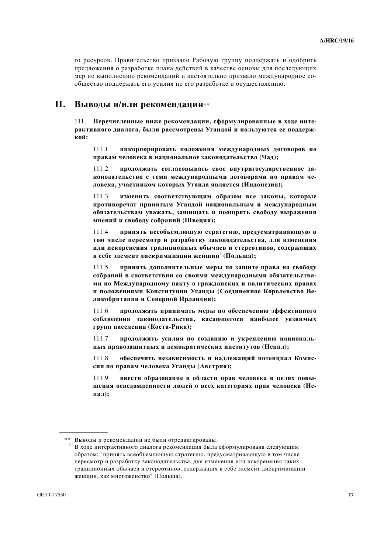го ресурсов. Правительство призвало Рабочую группу поддержать и одобрить предложения о разработке плана действий в качестве основы для последующих мер по выполнению рекоменлаций и настоятельно призвало международное сообщество поддержать его усилия по его разработке и осуществлению.

### **II.** Выводы и/или рекомендации\*\*

111. Перечисленные ниже рекомендации, сформулированные в ходе интерактивного диалога, были рассмотрены Угандой и пользуются ее поддерж**кой:** 

111.1 инкорпорировать положения международных договоров по правам человека в национальное законодательство (Чад);

111.2 **продолжать согласовывать свое внутригосударственное за-**КОНОДАТЕЛЬСТВО С ТЕМИ МЕЖДУНАРОДНЫМИ ДОГОВОРАМИ ПО ПРАВАМ ЧЕловека, участником которых Уганда является (Индонезия);

111.3 изменить соответствующим образом все законы, которые противоречат принятым Угандой национальным и международным **• бязательствам уважать, защищать и поощрять свободу выражения ɦɧɟɧɢɣ ɢ ɫɜɨɛɨɞɭ ɫɨɛɪɚɧɢɣ (ɒɜɟɰɢɹ);**

111.4 принять всеобъемлющую стратегию, предусматривающую в том числе пересмотр и разработку законодательства, для изменения **или искоренения традиционных обычаев и стереотипов, содержащих**  $\bf{B}$  себе элемент дискриминации женщин $^2$  (Польша);

111.5 принять дополнительные меры по защите права на свободу собраний в соответствии со своими международными обязательства-МИ ПО Международному пакту о гражданских и политических правах и положениями Конституции Уганды (Соединенное Королевство Ведикобритании и Северной Ирландии);

111.6 продолжать принимать меры по обеспечению эффективного соблюдения законодательства, касающегося наиболее уязвимых групп населения (Коста-Рика);

111.7 **продолжить усилия по созданию и укреплению национальных правозащитных и демократических институтов (Непал);** 

111.8 обеспечить независимость и надлежащий потенциал Комиссии по правам человека Уганды (Австрия);

111.9 **ввести образование в области прав человека в целях повы**шения осведомленности людей о всех категориях прав человека (Не**ɩɚɥ);**

<sup>\*\*</sup> Выводы и рекомендации не были отредактированы.<br><sup>2</sup> В ходе интерактивного диалога рекомендация была сформулирована следующим образом: "принять всеобъемлющую стратегию, предусматривающую в том числе пересмотр и разработку законодательства, для изменения или искоренения таких традиционных обычаев и стереотипов, содержащих в себе элемент дискриминации женщин, как многоженство" (Польша).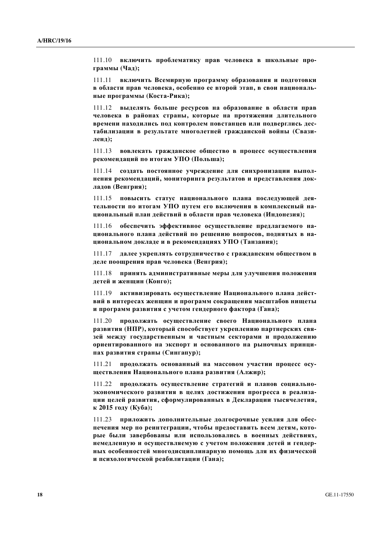111.10 включить проблематику прав человека в школьные программы (Чад);

111.11 **включить Всемирную программу образования и подготовки в области прав человека, особенно ее второй этап, в свои национальные программы** (Коста-Рика);

111.12 **выделять больше ресурсов на образование в области прав** человека в районах страны, которые на протяжении длительного **времени находились под контролем повстанцев или подверглись дес**табилизации в результате многолетней гражданской войны (Свази**ɥɟɧɞ);**

111.13 вовлекать гражданское общество в процесс осуществления **рекомендаций по итогам УПО (Польша);** 

111.14 **создать постоянное учреждение для синхронизации выпол-Нения рекомендаций, мониторинга результатов и представления док-** $\boldsymbol{\text{Jaqob}}$  (Венгрия);

111.15 повысить статус национального плана последующей дея-ТЕЛЬНОСТИ ПО ИТОГАМ УПО ПУТЕМ ЕГО ВКЛЮЧЕНИЯ В КОМПЛЕКСНЫЙ НАциональный план действий в области прав человека (Индонезия);

111.16 обеспечить эффективное осуществление предлагаемого на-**ЩИОНАЛЬНОГО ПЛАНА ДЕЙСТВИЙ ПО РЕШЕНИЮ ВОПРОСОВ, ПОДНЯТЫХ В НАu**иональном докладе и в рекомендациях УПО (Танзания);

111.17 далее укреплять сотрудничество с гражданским обществом в деле поощрения прав человека (Венгрия);

111.18 **принять алминистративные меры лля улучшения положения**  $\mu$ етей и женщин (Конго);

111.19 активизировать осуществление Национального плана дейст**вий в интересах женщин и программ сокращения масштабов нищеты и программ развития с учетом гендерного фактора (Гана);** 

111.20 **продолжать осуществление своего Национального плана** развития (НПР), который способствует укреплению партнерских связей между государственным и частным секторами и продолжению **ириентированного на экспорт и основанного на рыночных принци-**ПАХ РАЗВИТИЯ СТРАНЫ (СИНГАПУР);

111.21 продолжать основанный на массовом участии процесс осу**шествления Национального плана развития (Алжир);** 

111.22 продолжать осуществление стратегий и планов социально**укономического развития в целях достижения прогресса в реализаɰɢɢ ɰɟɥɟɣ ɪɚɡɜɢɬɢɹ, ɫɮɨɪɦɭɥɢɪɨɜɚɧɧɵɯ ɜ Ⱦɟɤɥɚɪɚɰɢɢ ɬɵɫɹɱɟɥɟɬɢɹ, <b>году** (Куба);

111.23 приложить дополнительные долгосрочные усилия для обеспечения мер по реинтеграции, чтобы предоставить всем детям, которые были завербованы или использовались в военных действиях, Немедленную и осуществляемую с учетом положения детей и гендер-**НЫХ ОСОбенностей многодисциплинарную помощь для их физической** и психологической реабилитации (Гана);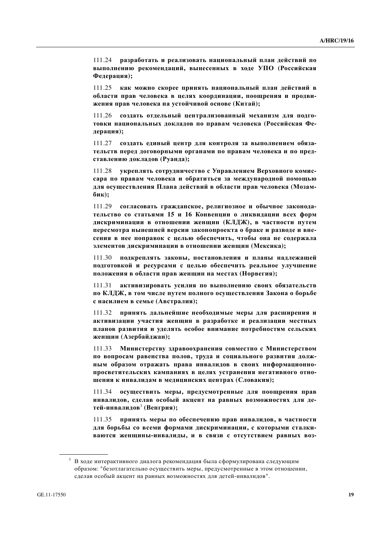111.24 разработать и реализовать национальный план действий по **выполнению рекомендаций, вынесенных в ходе УПО (Российская**  $\Phi$ едерация);

111.25 как можно скорее принять национальный план действий в **области прав человека в целях координации, поощрения и продви-** $X$ ения прав человека на устойчивой основе (Китай);

111.26 создать отдельный централизованный механизм для подготовки национальных докладов по правам человека (Российская Фе- $\mu$ ерация);

111.27 создать единый центр для контроля за выполнением обяза-Тельств перед договорными органами по правам человека и по представлению докладов (Руанда);

111.28 **укреплять сотрудничество с Управлением Верховного комис**сара по правам человека и обратиться за международной помощью для осуществления Плана действий в области прав человека (Мозам**ɛɢɤ);**

111.29 **согласовать гражданское, религиозное и обычное законода-ТЕЛЬСТВО СО СТАТЬЯМИ 15 И 16 КОНВЕНЦИИ О ЛИКВИЛАЦИИ ВСЕХ ФОРМ** дискриминации в отношении женщин (КЛДЖ), в частности путем пересмотра нынешней версии законопроекта о браке и разводе и внесения в нее поправок с целью обеспечить, чтобы она не содержала **улементов дискриминации в отношении женщин (Мексика);** 

111.30 подкреплять законы, постановления и планы надлежащей подготовкой и ресурсами с целью обеспечить реальное улучшение положения в области прав женщин на местах (Норвегия);

111.31 активизировать усилия по выполнению своих обязательств по КЛДЖ, в том числе путем полного осуществления Закона о борьбе  **<b>***HACHJHeM B CeMbe (Австралия);* 

111.32 принять дальнейшие необходимые меры для расширения и **активизации участия женщин в разработке и реализации местных** ПЛАНОВ РАЗВИТИЯ И УДЕЛЯТЬ ОСОбОЕ ВНИМАНИЕ ПОТРЕбНОСТЯМ СЕЛЬСКИХ  $x$ енщин (Азербайджан);

111.33 Министерству здравоохранения совместно с Министерством по вопросам равенства полов, труда и социального развития долж-**НЫМ Образом отражать права инвалидов в своих информационно**просветительских кампаниях в целях устранения негативного отно**шения к инвалидам в медицинских центрах (Словакия);** 

111.34 осуществить меры, предусмотренные для поощрения прав ИНВАЛИДОВ, СДЕЛАВ ОСОбЫЙ АКЦЕНТ НА РАВНЫХ ВОЗМОЖНОСТЯХ ДЛЯ ДЕ- $\text{TR}\ddot{\text{C}}$  **(BeHГрия)**;

111.35 принять меры по обеспечению прав инвалидов, в частности для борьбы со всеми формами дискриминации, с которыми сталки-**ВАЮТСЯ ЖЕНЩИНЫ-ИНВАЛИДЫ, И В СВЯЗИ С ОТСУТСТВИЕМ РАВНЫХ ВОЗ-**

 $3$  В ходе интерактивного диалога рекомендация была сформулирована следующим образом: "безотлагательно осуществить меры, предусмотренные в этом отношении, сделав особый акцент на равных возможностях для детей-инвалидов".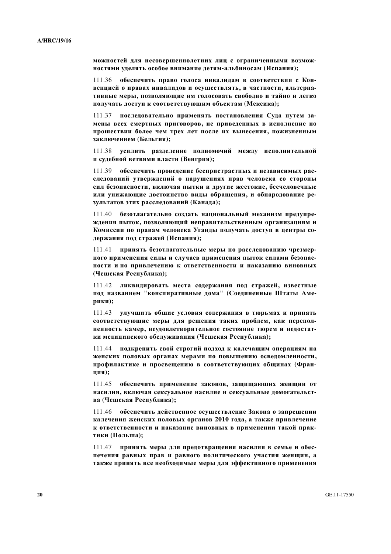можностей для несовершеннолетних лиц с ограниченными возмож**ностями уделять особое внимание детям-альбиносам (Испания);** 

111.36 обеспечить право голоса инвалидам в соответствии с Кон**венцией о правах инвалидов и осуществлять, в частности, альтерна-**ТИВНЫЕ МЕРЫ, ПОЗВОЛЯЮЩИЕ ИМ ГОЛОСОВАТЬ СВОбОДНО И ТАЙНО И ЛЕГКО получать доступ к соответствующим объектам (Мексика);

111.37 последовательно применять постановления Суда путем за-Мены всех смертных приговоров, не приведенных в исполнение по прошествии более чем трех лет после их вынесения, пожизненным заключением (Бельгия);

111.38 усилить разделение полномочий между исполнительной **и судебной ветвями власти (Венгрия);** 

111.39 обеспечить проведение беспристрастных и независимых расследований утверждений о нарушениях прав человека со стороны сил безопасности, включая пытки и другие жестокие, бесчеловечные или унижающие достоинство виды обращения, и обнародование ре- $3$ ультатов этих расследований (Канада);

111.40 безотлагательно созлать национальный механизм предупре-ЖДЕНИЯ ПЫТОК, ПОЗВОЛЯЮЩИЙ НЕПРАВИТЕЛЬСТВЕННЫМ ОРГАНИЗАЦИЯМ И Комиссии по правам человека Уганды получать доступ в центры со- $\mu$ ержания под стражей (Испания);

111.41 **принять безотлагательные меры по расследованию чрезмер-НОГО ПРИМЕНЕНИЯ СИЛЫ И СЛУЧАЕВ ПРИМЕНЕНИЯ ПЫТОК СИЛАМИ безопас-**НОСТИ И ПО ПРИВЛЕЧЕНИЮ К ОТВЕТСТВЕННОСТИ И НАКАЗАНИЮ ВИНОВНЫХ **(ɑɟɲɫɤɚɹ Ɋɟɫɩɭɛɥɢɤɚ);**

111.42 ликвидировать места содержания под стражей, известные под названием "конспиративные дома" (Соединенные Штаты Аме**пики**):

111.43 улучшить общие условия содержания в тюрьмах и принять соответствующие меры для решения таких проблем, как перепол-Ненность камер, неудовлетворительное состояние тюрем и недостатки медицинского обслуживания (Чешская Республика);

111.44 подкрепить свой строгий подход к калечащим операциям на Женских половых органах мерами по повышению осведомленности, профилактике и просвещению в соответствующих общинах (Фран**ɰɢɹ);** 

111.45 обеспечить применение законов, защищающих женщин от **НАСИЛИЯ, ВКЛЮЧАЯ СЕКСУАЛЬНОЕ НАСИЛИЕ И СЕКСУАЛЬНЫЕ ДОМОГАТЕЛЬСТ- (Чешская Республика);** 

111.46 обеспечить действенное осуществление Закона о запрещении **калечения женских половых органов 2010 года, а также привлечение** К ОТВЕТСТВЕННОСТИ И НАКАЗАНИЕ ВИНОВНЫХ В ПРИМЕНЕНИИ ТАКОЙ ПРАКтики (Польша);

111.47 принять меры для предотвращения насилия в семье и обеспечения равных прав и равного политического участия женщин, а также принять все необходимые меры для эффективного применения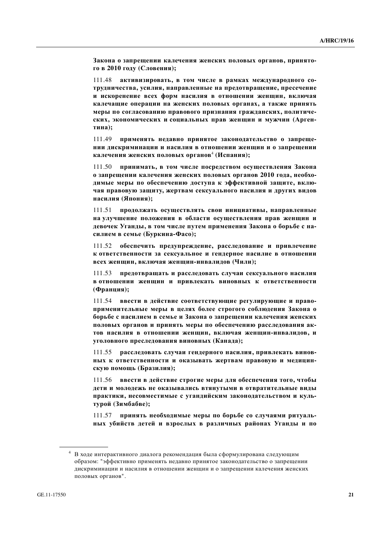Закона о запрещении калечения женских половых органов, принято- $\Gamma$ **0 в 2010 году** (Словения);

111.48 активизировать, в том числе в рамках международного сотрудничества, усилия, направленные на предотвращение, пресечение **И** ИСКОРЕНЕНИЕ ВСЕХ ФОРМ НАСИЛИЯ В ОТНОШЕНИИ ЖЕНЩИН, ВКЛЮЧАЯ калечащие операции на женских половых органах, а также принять Меры по согласованию правового признания гражданских, политических, экономических и социальных прав женщин и мужчин (Аргентина);

111.49 применять недавно принятое законодательство о запреще-**НИИ ДИСКРИМИНАЦИИ И НАСИЛИЯ В ОТНОШЕНИИ ЖЕНЩИН И О ЗАПРЕЩЕНИИ калечения женских половых органов<sup>4</sup> (Испания);** 

111.50 **принимать, в том числе посредством осуществления Закона о запрещении калечения женских половых органов 2010 года, необхо**димые меры по обеспечению доступа к эффективной защите, включая правовую защиту, жертвам сексуального насилия и других видов **насилия** (Япония);

111.51 продолжать осуществлять свои инициативы, направленные На улучшение положения в области осуществления прав женщин и девочек Уганды, в том числе путем применения Закона о борьбе с на**силием в семье (Буркина-Фасо);** 

111.52 обеспечить предупреждение, расследование и привлечение **к** ответственности за сексуальное и гендерное насилие в отношении  $Bccex$  женщин, включая женщин-инвалидов (Чили);

111.53 предотвращать и расследовать случаи сексуального насилия **в** отношении женщин и привлекать виновных к ответственности (Франция);

111.54 **ввести в действие соответствующие регулирующие и право**применительные меры в целях более строгого соблюдения Закона о **борьбе с насилием в семье и Закона о запрещении калечения женских** ПОЛОВЫХ ОРГАНОВ И ПРИНЯТЬ МЕРЫ ПО Обеспечению расследования ак-ТОВ НАСИЛИЯ В ОТНОШЕНИИ ЖЕНЩИН, ВКЛЮЧАЯ ЖЕНЩИН-ИНВАЛИДОВ, И уголовного преследования виновных (Канада);

111.55 расследовать случаи гендерного насилия, привлекать винов-НЫХ К ОТВЕТСТВЕННОСТИ И ОКАЗЫВАТЬ ЖЕРТВАМ ПРАВОВУЮ И МЕДИЦИНскую помощь (Бразилия);

111.56 ввести в действие строгие меры для обеспечения того, чтобы ДЕТИ И МОЛОДЕЖЬ НЕ ОКАЗЫВАЛИСЬ ВТЯНУТЫМИ В ОТВРАТИТЕЛЬНЫЕ ВИДЫ Практики, несовместимые с угандийским законодательством и куль- $Typoй (3имбабве);$ 

111.57 принять необходимые меры по борьбе со случаями ритуаль-**НЫХ Убийств детей и взрослых в различных районах Уганды и по** 

<sup>&</sup>lt;sup>4</sup> В ходе интерактивного диалога рекомендация была сформулирована следующим образом: "эффективно применять недавно принятое законодательство о запрещении дискриминации и насилия в отношении женщин и о запрещении калечения женских половых органов".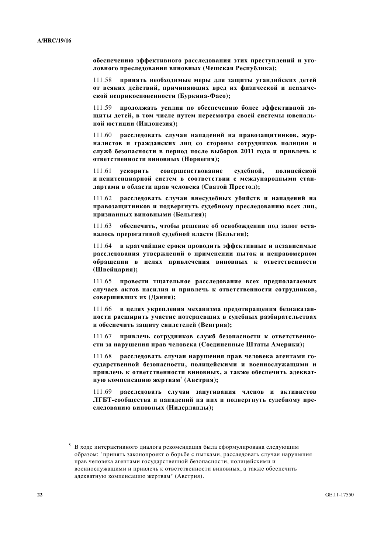**• беспечению эффективного расследования этих преступлений и уго**ловного преследования виновных (Чешская Республика);

111.58 принять необходимые меры для защиты угандийских детей **от всяких действий, причиняющих вред их физической и психиче**ской неприкосновенности (Буркина-Фасо);

111.59 **продолжать усилия по обеспечению более эффективной зашиты детей, в том числе путем пересмотра своей системы ювенальной юстиции** (Индонезия);

111.60 **расслеловать случаи напалений на правозашитников, жур-**Налистов и гражданских лиц со стороны сотрудников полиции и служб безопасности в период после выборов 2011 года и привлечь к  $\overline{O}$ **ТВЕТСТВЕННОСТИ ВИНОВНЫХ (НОРВЕГИЯ);** 

111.61 **ускорить совершенствование судебной, полицейской** и пенитенциарной систем в соответствии с международными стандартами в области прав человека (Святой Престол);

111.62 расследовать случаи внесудебных убийств и нападений на правозащитников и подвергнуть судебному преследованию всех лиц, признанных виновными (Бельгия);

111.63 обеспечить, чтобы решение об освобождении под залог оста**валось прерогативой судебной власти (Бельгия);** 

111.64 **в кратчайшие сроки проводить эффективные и независимые** расследования утверждений о применении пыток и неправомерном **ифращении в целях привлечения виновных к ответственности (Швейцария);** 

111.65 провести тщательное расследование всех предполагаемых случаев актов насилия и привлечь к ответственности сотрудников,  $\textbf{co}}$ вершивших их (Дания);

111.66 **в целях укрепления механизма прелотврашения безнаказан**ности расширить участие потерпевших в судебных разбирательствах и обеспечить защиту свидетелей (Венгрия);

111.67 **привлечь сотрудников служб безопасности к ответственно**сти за нарушения прав человека (Соединенные Штаты Америки);

111.68 расследовать случаи нарушения прав человека агентами государственной безопасности, полицейскими и военнослужащими и привлечь к ответственности виновных, а также обеспечить адекват-**НУЮ КОМПЕНСАЦИЮ ЖЕРТВАМ<sup>5</sup> (АВСТРИЯ);** 

111.69 расследовать случаи запугивания членов и активистов **ЛГБТ-сообщества и нападений на них и подвергнуть судебному пре**следованию виновных (Нидерланды);

 $5$  В ходе интерактивного диалога рекомендация была сформулирована следующим образом: "принять законопроект о борьбе с пытками, расследовать случаи нарушения прав человека агентами государственной безопасности, полицейскими и военнослужащими и привлечь к ответственности виновных, а также обеспечить адекватную компенсацию жертвам" (Австрия).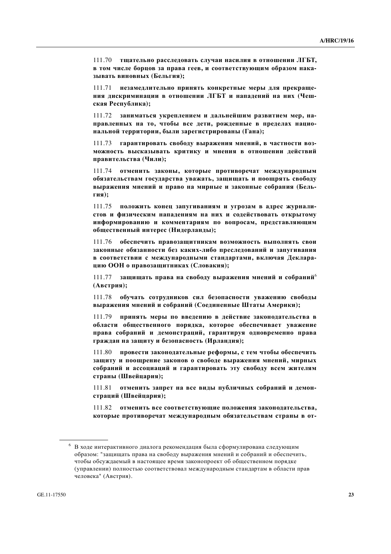111.70 тщательно расследовать случаи насилия в отношении ЛГБТ, **в том числе борцов за права геев, и соответствующим образом накаɡɵɜɚɬɶ ɜɢɧɨɜɧɵɯ (Ȼɟɥɶɝɢɹ);**

111.71 **незамедлительно принять конкретные меры для прекраще-**НИЯ ДИСКРИМИНАЦИИ В ОТНОШЕНИИ ЛГБТ И НАПАДЕНИЙ НА НИХ (Чешская Республика);

111.72 заниматься укреплением и дальнейшим развитием мер, направленных на то, чтобы все дети, рожденные в пределах нацио**нальной территории, были зарегистрированы (Гана);** 

111.73 гарантировать свободу выражения мнений, в частности воз-МОЖНОСТЬ ВЫСКАЗЫВАТЬ КРИТИКУ И МНЕНИЯ В ОТНОШЕНИИ ДЕЙСТВИЙ правительства (Чили);

111.74 отменить законы, которые противоречат международным **и бязательствам государства уважать, защищать и поощрять свободу ɜɵɪɚɠɟɧɢɹ ɦɧɟɧɢɣ ɢ ɩɪɚɜɨ ɧɚ ɦɢɪɧɵɟ ɢ ɡɚɤɨɧɧɵɟ ɫɨɛɪɚɧɢɹ (Ȼɟɥɶ-** $\Gamma$ **ия**);

111.75 положить конец запугиваниям и угрозам в адрес журналистов и физическим нападениям на них и содействовать открытому информированию и комментариям по вопросам, представляющим **общественный интерес (Нидерланды);** 

111.76 **обеспечить правозашитникам возможность выполнять свои** законные обязанности без каких-либо преследований и запугивания **в соответствии с международными стандартами, включая Деклараиию ООН о правозащитниках (Словакия);** 

111.77 защищать права на свободу выражения мнений и собраний<sup>6</sup> (Австрия);

111.78 обучать сотрудников сил безопасности уважению свободы **ɜɵɪɚɠɟɧɢɹ ɦɧɟɧɢɣ ɢ ɫɨɛɪɚɧɢɣ (ɋɨɟɞɢɧɟɧɧɵɟ ɒɬɚɬɵ Ⱥɦɟɪɢɤɢ);**

111.79 **принять меры по введению в действие законодательства в и ебщественного порядка, которое обеспечивает уважение** права собраний и демонстраций, гарантируя одновременно права граждан на защиту и безопасность (Ирландия);

111.80 провести законодательные реформы, с тем чтобы обеспечить защиту и поощрение законов о свободе выражения мнений, мирных собраний и ассоциаций и гарантировать эту свободу всем жителям  $c$ траны (Швейцария);

111.81 отменить запрет на все виды публичных собраний и демон $c$ траций (Швейцария);

111.82 отменить все соответствующие положения законодательства, **которые противоречат международным обязательствам страны в от-**

 $6$  В ходе интерактивного диалога рекомендация была сформулирована следующим образом: "защищать права на свободу выражения мнений и собраний и обеспечить, чтобы обсуждаемый в настоящее время законопроект об общественном порядке (управлении) полностью соответствовал международным стандартам в области прав человека" (Австрия).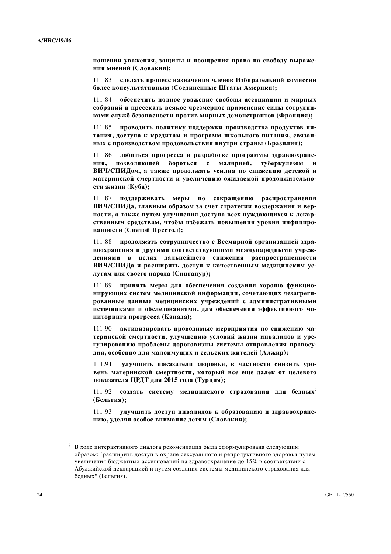**ношении уважения, защиты и поощрения права на свободу выраже-НИЯ МНЕНИЙ** (Словакия);

111.83 сделать процесс назначения членов Избирательной комиссии **ɛɨɥɟɟ ɤɨɧɫɭɥɶɬɚɬɢɜɧɵɦ (ɋɨɟɞɢɧɟɧɧɵɟ ɒɬɚɬɵ Ⱥɦɟɪɢɤɢ);**

111.84 **•• обеспечить полное уважение своболы ассоциации и мирных** собраний и пресекать всякое чрезмерное применение силы сотрудниками служб безопасности против мирных демонстрантов (Франция);

111.85 **проводить политику поддержки производства продуктов пи-**ТАНИЯ, ДОСТУПА К КРЕДИТАМ И ПРОГРАММ ШКОЛЬНОГО ПИТАНИЯ, СВЯЗАН-**НЫХ С ПРОИЗВОДСТВОМ ПРОДОВОЛЬСТВИЯ ВНУТРИ СТРАНЫ (Бразилия);** 

111.86 добиться прогресса в разработке программы здравоохране-**НИЯ, ПОЗВОЛЯЮЩЕЙ бороться с малярией, туберкулезом и** ВИЧ/СПИДом, а также продолжать усилия по снижению детской и МАТЕРИНСКОЙ СМЕРТНОСТИ И УВЕЛИЧЕНИЮ ОЖИДАЕМОЙ ПРОДОЛЖИТЕЛЬНОсти жизни (Куба);

111.87 поддерживать меры по сокращению распространения ВИЧ/СПИДа, главным образом за счет стратегии воздержания и вер-**НОСТИ, А ТАКЖЕ ПУТЕМ УЛУЧШЕНИЯ ДОСТУПА ВСЕХ НУЖДАЮЩИХСЯ К ЛЕКАР**ственным средствам, чтобы избежать повышения уровня инфициро**ванности (Святой Престол);** 

 $111.88$  продолжать сотрудничество с Всемирной организацией здра**воохранения и другими соответствующими международными учреж**дениями в целях дальнейшего снижения распространенности ВИЧ/СПИДа и расширить доступ к качественным медицинским ус-**JJYTAM</math> ДЛЯ СВОЕГО НАРОДА</b> (Сингапур);** 

111.89 **принять меры для обеспечения создания хорошо функцио-НИРУЮЩИХ СИСТЕМ МЕДИЦИНСКОЙ ИНФОРМАЦИИ, СОЧЕТАЮЩИХ ДЕЗАГРЕГИрованные данные медицинских учреждений с административными** источниками и обследованиями, для обеспечения эффективного мо**ниторинга прогресса (Канада);** 

111.90 активизировать проводимые мероприятия по снижению материнской смертности, улучшению условий жизни инвалидов и уре-ГУЛИРОВАНИЮ ПРОблемы дороговизны системы отправления правосудия, особенно для малоимущих и сельских жителей (Алжир);

111.91 улучшить показатели здоровья, в частности снизить уро-**Вень материнской смертности, который все еще далек от целевого** показателя ЦРДТ для 2015 года (Турция);

111.92 создать систему медицинского страхования для бедных<sup>7</sup> **(Ȼɟɥɶɝɢɹ);**

111.93 **улучшить доступ инвалидов к образованию и здравоохранеɧɢɸ, ɭɞɟɥɹɹ ɨɫɨɛɨɟ ɜɧɢɦɚɧɢɟ ɞɟɬɹɦ (ɋɥɨɜɚɤɢɹ);**

 $7$  В ходе интерактивного диалога рекомендация была сформулирована следующим образом: "расширить доступ к охране сексуального и репродуктивного здоровья путем увеличения бюджетных ассигнований на здравоохранение до 15% в соответствии с Абуджийской декларацией и путем создания системы медицинского страхования для бедных" (Бельгия).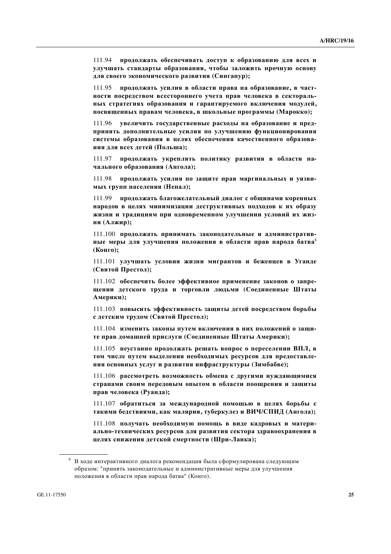111.94 **продолжать обеспечивать доступ к образованию для всех и** улучшать стандарты образования, чтобы заложить прочную основу для своего экономического развития (Сингапур);

111.95 **продолжать усилия в области права на образование, в част-НОСТИ ПОСРЕДСТВОМ ВСЕСТОРОННЕГО УЧЕТА ПРАВ ЧЕЛОВЕКА В СЕКТОРАЛЬ**ных стратегиях образования и гарантируемого включения модулей, посвященных правам человека, в школьные программы (Марокко);

111.96 **увеличить государственные расходы на образование и пред**принять дополнительные усилия по улучшению функционирования системы образования в целях обеспечения качественного образова**ния для всех детей (Польша);** 

111.97 **продолжать укреплять политику развития в области наɱɚɥɶɧɨɝɨ ɨɛɪɚɡɨɜɚɧɢɹ (Ⱥɧɝɨɥɚ);**

111.98 **продолжать усилия по защите прав маргинальных и уязвиɦɵɯ ɝɪɭɩɩ ɧɚɫɟɥɟɧɢɹ (ɇɟɩɚɥ);**

111.99 продолжать благожелательный диалог с общинами коренных Народов в целях минимизации деструктивных подходов к их образу ЖИЗНИ И ТРАДИЦИЯМ ПРИ ОДНОВРЕМЕННОМ УЛУЧШЕНИИ УСЛОВИЙ ИХ ЖИЗ**ɧɢ (Ⱥɥɠɢɪ);**

111.100 продолжать принимать законодательные и административ-**НЫ**е меры для улучшения положения в области прав народа батва<sup>8</sup> (Конго):

111.101 улучшать условия жизни мигрантов и беженцев в Уганде **(ɋɜɹɬɨɣ ɉɪɟɫɬɨɥ);**

111.102 обеспечить более эффективное применение законов о запре**шении детского труда и торговли людьми (Соединенные Штаты**  $A$ мерики);

111.103 повысить эффективность защиты детей посредством борьбы  $c$  детским трудом (Святой Престол);

 $111.104$  изменить законы путем включения в них положений о зашите прав домашней прислуги (Соединенные Штаты Америки);

111.105 неустанно продолжать решать вопрос о переселении ВПЛ, в том числе путем выделения необходимых ресурсов для предоставле**ния основных услуг и развития инфраструктуры (Зимбабве);** 

111.106 рассмотреть возможность обмена с другими нуждающимися странами своим передовым опытом в области поощрения и защиты прав человека (Руанда);

111.107 обратиться за международной помощью в целях борьбы с Такими бедствиями, как малярия, туберкулез и ВИЧ/СПИД (Ангола);

111.108 получать необходимую помощь в виде кадровых и материально-технических ресурсов для развития сектора здравоохранения в **ueлях снижения детской смертности (Шри-Ланка);** 

 $8$  В ходе интерактивного диалога рекомендация была сформулирована следующим образом: "принять законодательные и административные меры для улучшения положения в области прав народа батва" (Конго).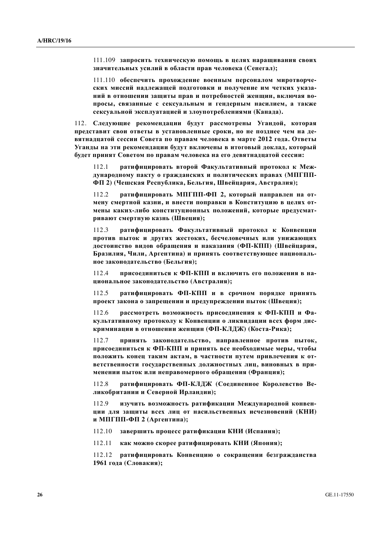111.109 запросить техническую помощь в целях наращивания своих значительных усилий в области прав человека (Сенегал);

111.110 обеспечить прохождение военным персоналом миротворческих миссий надлежащей подготовки и получение им четких указа-**НИЙ В ОТНОШЕНИИ ЗАЩИТЫ ПРАВ И ПОТРЕбнОСТЕЙ ЖЕНЩИН, ВКЛЮЧАЯ ВО**просы, связанные с сексуальным и гендерным насилием, а также сексуальной эксплуатацией и злоупотреблениями (Канада).

112. Следующие рекомендации будут рассмотрены Угандой, которая представит свои ответы в установленные сроки, но не позднее чем на де**вятнадцатой сессии Совета по правам человека в марте 2012 года. Ответы ɍɝɚɧɞɵ ɧɚ ɷɬɢ ɪɟɤɨɦɟɧɞɚɰɢɢ ɛɭɞɭɬ ɜɤɥɸɱɟɧɵ ɜ ɢɬɨɝɨɜɵɣ ɞɨɤɥɚɞ, ɤɨɬɨɪɵɣ** будет принят Советом по правам человека на его девятнадцатой сессии:

112.1 ратифицировать второй Факультативный протокол к Международному пакту о гражданских и политических правах (МПГПП-**Ɏɉ 2) (ɑɟɲɫɤɚɹ Ɋɟɫɩɭɛɥɢɤɚ, Ȼɟɥɶɝɢɹ, ɒɜɟɣɰɚɪɢɹ, Ⱥɜɫɬɪɚɥɢɹ);**

112.2 ратифицировать МПГПП-ФП 2, который направлен на от**мену смертной казни, и внести поправки в Конституцию в целях от-**Мены каких-либо конституционных положений, которые предусмат**ривают смертную казнь (Швеция);** 

112.3 ратифицировать Факультативный протокол к Конвенции против пыток и других жестоких, бесчеловечных или унижающих достоинство видов обращения и наказания (ФП-КПП) (Швейцария, Бразилия, Чили, Аргентина) и принять соответствующее националь**ное законодательство (Бельгия);** 

112.4 **присоелиниться к ФП-КПП и включить его положения в на**циональное законодательство (Австралия);

112.5 **ратифицировать ФП-КПП и в срочном порядке принять** проект закона о запрещении и предупреждении пыток (Швеция);

112.6 рассмотреть возможность присоединения к ФП-КПП и Фа**к**ультативному протоколу к Конвенции о ликвидации всех форм дис**криминации в отношении женщин (ФП-КЛДЖ) (Коста-Рика);** 

112.7 принять законодательство, направленное против пыток, присоединиться к ФП-КПП и принять все необходимые меры, чтобы ПОЛОЖИТЬ КОНЕЦ ТАКИМ АКТАМ, В ЧАСТНОСТИ ПУТЕМ ПРИВЛЕЧЕНИЯ К ОТ-**ВЕТСТВЕННОСТИ ГОСУДАРСТВЕННЫХ ДОЛЖНОСТНЫХ ЛИЦ, ВИНОВНЫХ В ПРИ-** $M$ енении пыток или неправомерного обращения (Франция);

112.8 ратифицировать ФП-КЛДЖ (Соединенное Королевство Великобритании и Северной Ирландии);

112.9 изучить возможность ратификации Международной конвен-**ЩИИ ДЛЯ ЗАЩИТЫ ВСЕХ ЛИЦ ОТ НАСИЛЬСТВЕННЫХ ИСЧЕЗНОВЕНИЙ (КНИ) и** МПГПП-ФП 2 (Аргентина);

112.10 завершить процесс ратификации КНИ (Испания);

112.11 как можно скорее ратифицировать КНИ (Япония);

112.12 **ратифицировать Конвенцию о сокращении безгражданства** 1961 года (Словакия);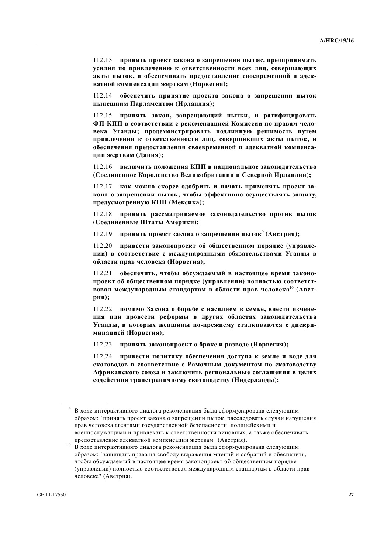112.13 **принять проект закона о запрещении пыток, предпринимать** усилия по привлечению к ответственности всех лиц, совершающих акты пыток, и обеспечивать предоставление своевременной и адек**ватной компенсации жертвам (Норвегия);** 

112.14 обеспечить принятие проекта закона о запрещении пыток **нынешним Парламентом (Ирландия);** 

112.15 принять закон, запрещающий пытки, и ратифицировать **Ɏɉ-Ʉɉɉ ɜ ɫɨɨɬɜɟɬɫɬɜɢɢ ɫ ɪɟɤɨɦɟɧɞɚɰɢɟɣ Ʉɨɦɢɫɫɢɢ ɩɨ ɩɪɚɜɚɦ ɱɟɥɨвека Уганды; продемонстрировать подлинную решимость путем** привлечения к ответственности лиц, совершивших акты пыток, и **• беспечения предоставления своевременной и адекватной компенсации жертвам** (Дания);

112.16 **включить положения КПП в национальное законолательство (ɋɨɟɞɢɧɟɧɧɨɟ Ʉɨɪɨɥɟɜɫɬɜɨ ȼɟɥɢɤɨɛɪɢɬɚɧɢɢ ɢ ɋɟɜɟɪɧɨɣ ɂɪɥɚɧɞɢɢ);**

 $112.17$  **как можно скорее одобрить и начать применять проект за**кона о запрещении пыток, чтобы эффективно осуществлять защиту, предусмотренную КПП (Мексика);

112.18 **принять рассматриваемое законолательство против пыток (ɋɨɟɞɢɧɟɧɧɵɟ ɒɬɚɬɵ Ⱥɦɟɪɢɤɢ);**

112.19 принять проект закона о запрещении пыток<sup>9</sup> (Австрия);

112.20 **ПРИВЕСТИ ЗАКОНОПРОЕКТ ОБ ОбЩЕСТВЕННОМ ПОРЯДКЕ (УПРАВЛЕ-НИИ) В СООТВЕТСТВИЕ С МЕЖДУНАРОДНЫМИ Обязательствами Уганды в**  $\phi$ бласти прав человека (Норвегия);

112.21 **обеспечить, чтобы обсужлаемый в настояшее время законо**проект об общественном порядке (управлении) полностью соответст**вовал международным стандартам в области прав человека<sup>10</sup> (Австpия**);

 $112.22$  помимо Закона о борьбе с насилием в семье, внести изменения или провести реформы в других областях законодательства **Уганды**, в которых женщины по-прежнему сталкиваются с дискри**ɦɢɧɚɰɢɟɣ (ɇɨɪɜɟɝɢɹ);**

112.23 принять законопроект о браке и разводе (Норвегия);

112.24 **привести политику обеспечения доступа к земле и воде для** скотоводов в соответствие с Рамочным документом по скотоводству **Ⱥɮɪɢɤɚɧɫɤɨɝɨ ɫɨɸɡɚ ɢ ɡɚɤɥɸɱɢɬɶ ɪɟɝɢɨɧɚɥɶɧɵɟ ɫɨɝɥɚɲɟɧɢɹ ɜ ɰɟɥɹɯ** содействия трансграничному скотоводству (Нидерланды);

В ходе интерактивного диалога рекомендация была сформулирована следующим образом: "принять проект закона о запрещении пыток, расследовать случаи нарушения прав человека агентами государственной безопасности, полицейскими и военнослужащими и привлекать к ответственности виновных, а также обеспечивать

предоставление адекватной компенсации жертвам" (Австрия).<br><sup>10</sup> В ходе интерактивного диалога рекомендация была сформулирована следующим образом: "защищать права на свободу выражения мнений и собраний и обеспечить, чтобы обсуждаемый в настоящее время законопроект об общественном порядке (управлении) полностью соответствовал международным стандартам в области прав человека" (Австрия).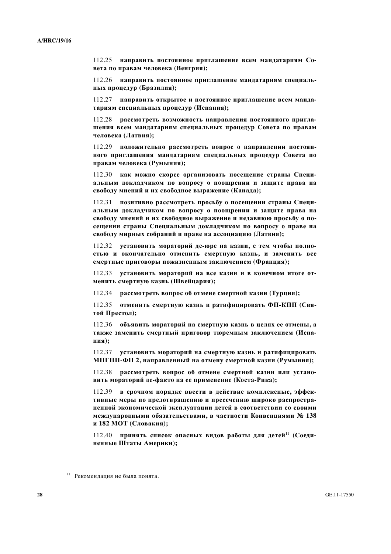112.25 **направить постоянное приглашение всем мандатариям Совета по правам человека (Венгрия);** 

112.26 **направить постоянное приглашение мандатариям специальных процедур (Бразилия);** 

112.27 **иаправить открытое и постоянное приглашение всем манла**тариям специальных процедур (Испания);

112.28 **рассмотреть возможность направления постоянного пригла**шения всем мандатариям специальных процедур Совета по правам человека (Латвия);

112.29 **положительно рассмотреть вопрос о направлении постоян-НОГО ПРИГЛАШЕНИЯ МАНДАТАРИЯМ СПЕЦИАЛЬНЫХ ПРОЦЕДУР СОВЕТА ПО** правам человека (Румыния);

112.30 как можно скорее организовать посещение страны Специ- $\lambda$ ильным докладчиком по вопросу о поощрении и защите права на свободу мнений и их свободное выражение (Канада);

112.31 позитивно рассмотреть просьбу о посещении страны Специ**альным докладчиком по вопросу о поощрении и защите права на** свободу мнений и их свободное выражение и недавнюю просьбу о посещении страны Специальным докладчиком по вопросу о праве на свободу мирных собраний и праве на ассоциацию (Латвия);

112.32 **УСТАНОВИТЬ МОРАТОРИЙ ДЕ-ЮРЕ НА КАЗНИ, С ТЕМ ЧТОбЫ ПОЛНО**стью и окончательно отменить смертную казнь, и заменить все смертные приговоры пожизненным заключением (Франция);

112.33 **УСТАНОВИТЬ МОРАТОРИЙ НА ВСЕ КАЗНИ И В КОНЕЧНОМ ИТОГЕ ОТ-** $MEHHTE$  смертную казнь (Швейцария);

 $112.34$  рассмотреть вопрос об отмене смертной казни (Турция);

 $112.35$  отменить смертную казнь и ратифицировать ФП-КПП (Свя- $\textbf{to}\$ й Престол);

112.36 объявить мораторий на смертную казнь в целях ее отмены, а Также заменить смертный приговор тюремным заключением (Испа**ɧɢɹ);**

112.37 **установить мораторий на смертную казнь и ратифицировать** МПГПП-ФП 2, направленный на отмену смертной казни (Румыния);

112.38 рассмотреть вопрос об отмене смертной казни или устано**а** вить мораторий де-факто на ее применение (Коста-Рика);

112.39 в срочном порядке ввести в действие комплексные, эффек-ТИВНЫЕ МЕРЫ ПО ПРЕДОТВРАЩЕНИЮ И ПРЕСЕЧЕНИЮ ШИРОКО РАСПРОСТРА-Ненной экономической эксплуатации детей в соответствии со своими МЕЖДУНАРОДНЫМИ ОбЯЗАТЕЛЬСТВАМИ, В ЧАСТНОСТИ КОНВЕНЦИЯМИ № 138 **и 182 МОТ** (Словакия);

112.40 **принять список опасных видов работы для детей<sup>11</sup> (Соединенные Штаты Америки);** 

 $11$  Рекомендация не была понята.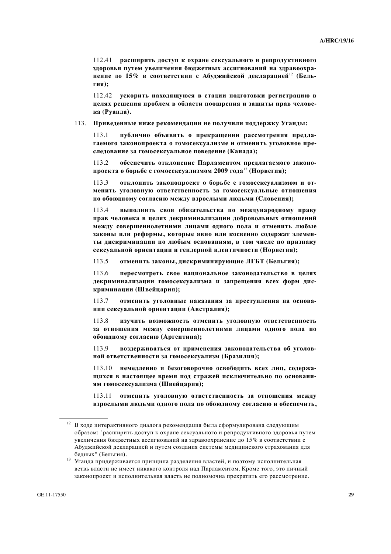112.41 расширить доступ к охране сексуального и репродуктивного здоровья путем увеличения бюджетных ассигнований на здравоохранение до 15% в соответствии с Абуджийской декларацией<sup>12</sup> (Бель- $\Gamma$ **ия**);

112.42 **ускорить находящуюся в стадии подготовки регистрацию в** целях решения проблем в области поощрения и защиты прав челове**ɤɚ (Ɋɭɚɧɞɚ).**

#### 113. Приведенные ниже рекомендации не получили поддержку Уганды:

113.1 иублично объявить о прекращении рассмотрения предла-Гаемого законопроекта о гомосексуализме и отменить уголовное преследование за гомосексуальное поведение (Канада);

113.2 **• обеспечить отклонение Парламентом предлагаемого законо**проекта о борьбе с гомосексуализмом 2009 года<sup>13</sup> (Норвегия);

113.3 **• ОТКЛОНИТЬ ЗАКОНОПРОЕКТ О бОРЬбе с ГОМОСЕКСУАЛИЗМОМ И ОТ-Менить уголовную ответственность за гомосексуальные отношения** по обоюдному согласию между взрослыми людьми (Словения);

113.4 **выполнить свои обязательства по международному праву** прав человека в целях декриминализации добровольных отношений между совершеннолетними лицами одного пола и отменить любые законы или реформы, которые явно или косвенно содержат элемен**ɬɵ ɞɢɫɤɪɢɦɢɧɚɰɢɢ ɩɨ ɥɸɛɵɦ ɨɫɧɨɜɚɧɢɹɦ, ɜ ɬɨɦ ɱɢɫɥɟ ɩɨ ɩɪɢɡɧɚɤɭ** сексуальной ориентации и гендерной идентичности (Норвегия);

113.5 отменить законы, дискриминирующие ЛГБТ (Бельгия);

113.6 **пересмотреть свое национальное законолательство в целях** декриминализации гомосексуализма и запрещения всех форм дис**ɤɪɢɦɢɧɚɰɢɢ (ɒɜɟɣɰɚɪɢɹ);**

113.7 **• отменить уголовные наказания за преступления на основании сексуальной ориентации (Австралия);** 

113.8 изучить возможность отменить уголовную ответственность за отношения между совершеннолетними лицами одного пола по  $\phi$ боюдному согласию (Аргентина);

113.9 воздерживаться от применения законодательства об уголов**ной ответственности за гомосексуализм (Бразилия);** 

113.10 **немедленно и безоговорочно освободить всех лиц, содержа-ЩИХСЯ В НАСТОЯЩЕЕ ВРЕМЯ ПОД СТРАЖЕЙ ИСКЛЮЧИТЕЛЬНО ПО ОСНОВАНИ**ям гомосексуализма (Швейцария);

113.11 отменить уголовную ответственность за отношения между **ɜɡɪɨɫɥɵɦɢ ɥɸɞɶɦɢ ɨɞɧɨɝɨ ɩɨɥɚ ɩɨ ɨɛɨɸɞɧɨɦɭ ɫɨɝɥɚɫɢɸ ɢ ɨɛɟɫɩɟɱɢɬɶ,** 

 $12$  В ходе интерактивного диалога рекомендация была сформулирована следующим образом: "расширить доступ к охране сексуального и репродуктивного здоровья путем увеличения бюджетных ассигнований на здравоохранение до 15% в соответствии с Абуджийской декларацией и путем создания системы медицинского страхования для

бедных" (Бельгия).<br><sup>13</sup> Уганда придерживается принципа разделения властей, и поэтому исполнительная ветвь власти не имеет никакого контроля над Парламентом. Кроме того, это личный законопроект и исполнительная власть не полномочна прекратить его рассмотрение.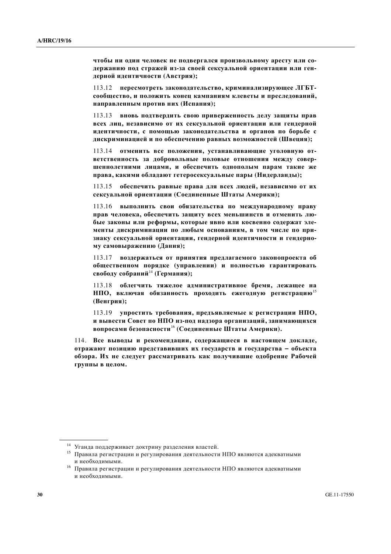чтобы ни один человек не подвергался произвольному аресту или содержанию под стражей из-за своей сексуальной ориентации или гендерной идентичности (Австрия);

113.12 пересмотреть законодательство, криминализирующее ЛГБТсообщество, и положить конец кампаниям клеветы и преследований, **направленным против них (Испания);** 

113.13 **вновь подтвердить свою приверженность делу защиты прав всех лиц, независимо от их сексуальной ориентации или гендерной** идентичности, с помощью законодательства и органов по борьбе с дискриминацией и по обеспечению равных возможностей (Швеция);

113.14 отменить все положения, устанавливающие уголовную от**ветственность за добровольные половые отношения между совер**шеннолетними лицами, и обеспечить однополым парам такие же права, какими обладают гетеросексуальные пары (Нидерланды);

 $113.15$  **обеспечить равные права для всех людей, независимо от их** сексуальной ориентации (Соединенные Штаты Америки);

113.16 **выполнить свои обязательства по международному праву** прав человека, обеспечить защиту всех меньшинств и отменить любые законы или реформы, которые явно или косвенно содержат эле-Менты дискриминации по любым основаниям, в том числе по признаку сексуальной ориентации, гендерной идентичности и гендерно**ɦɭ ɫɚɦɨɜɵɪɚɠɟɧɢɸ (Ⱦɚɧɢɹ);**

113.17 **воздержаться от принятия предлагаемого законопроекта об • бщественном порядке (управлении) и полностью гарантировать** свободу собраний<sup>14</sup> (Германия);

113.18 облегчить тяжелое административное бремя, лежащее на **НПО**, включая обязанность проходить ежегодную регистрацию<sup>15</sup> **(ȼɟɧɝɪɢɹ);**

113.19 **упростить требования, предъявляемые к регистрации НПО, И ВЫВССТИ СОВСТ ПО НПО ИЗ-ПОД НАДЗОРА ОРГАНИЗАЦИЙ, ЗАНИМАЮЩИХСЯ вопросами безопасности**<sup>16</sup> (Соединенные Штаты Америки).

114. Все выводы и рекомендации, содержащиеся в настоящем докладе, **итражают позицию представивших их государств и государства - объекта ыбзора.** Их не следует рассматривать как получившие одобрение Рабочей группы в целом.

<sup>&</sup>lt;sup>14</sup> Уганда поддерживает доктрину разделения властей.<br><sup>15</sup> Правила регистрации и регулирования деятельности НПО являются адекватными

и необходимыми.<br><sup>16</sup> Правила регистрации и регулирования деятельности НПО являются адекватными и необходимыми.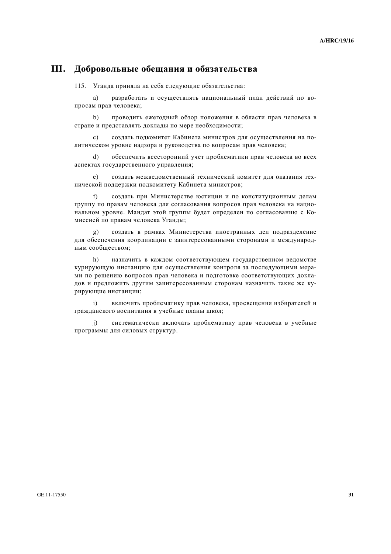## **III.** Добровольные обещания и обязательства

115. Уганда приняла на себя следующие обязательства:

а) разработать и осуществлять национальный план действий по вопросам прав человека;

b) проводить ежегодный обзор положения в области прав человека в стране и представлять доклады по мере необходимости;

с) создать подкомитет Кабинета министров для осуществления на политическом уровне надзора и руководства по вопросам прав человека;

d) обеспечить всесторонний учет проблематики прав человека во всех аспектах государственного управления;

e) создать межведомственный технический комитет для оказания технической поллержки полкомитету Кабинета министров:

f) создать при Министерстве юстиции и по конституционным делам группу по правам человека для согласования вопросов прав человека на национальном уровне. Мандат этой группы будет определен по согласованию с Комиссией по правам человека Уганды;

g) создать в рамках Министерства иностранных дел подразделение для обеспечения координации с заинтересованными сторонами и международным сообшеством:

h) назначить в каждом соответствующем государственном ведомстве курирующую инстанцию для осуществления контроля за последующими мерами по решению вопросов прав человека и подготовке соответствующих докладов и предложить другим заинтересованным сторонам назначить такие же курирующие инстанции;

i) включить проблематику прав человека, просвещения избирателей и гражданского воспитания в учебные планы школ;

j) систематически включать проблематику прав человека в учебные программы для силовых структур.